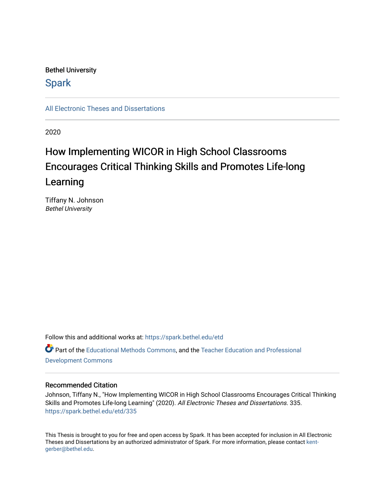# Bethel University

# **Spark**

[All Electronic Theses and Dissertations](https://spark.bethel.edu/etd) 

2020

# How Implementing WICOR in High School Classrooms Encourages Critical Thinking Skills and Promotes Life-long Learning

Tiffany N. Johnson Bethel University

Follow this and additional works at: [https://spark.bethel.edu/etd](https://spark.bethel.edu/etd?utm_source=spark.bethel.edu%2Fetd%2F335&utm_medium=PDF&utm_campaign=PDFCoverPages) Part of the [Educational Methods Commons,](http://network.bepress.com/hgg/discipline/1227?utm_source=spark.bethel.edu%2Fetd%2F335&utm_medium=PDF&utm_campaign=PDFCoverPages) and the [Teacher Education and Professional](http://network.bepress.com/hgg/discipline/803?utm_source=spark.bethel.edu%2Fetd%2F335&utm_medium=PDF&utm_campaign=PDFCoverPages)  [Development Commons](http://network.bepress.com/hgg/discipline/803?utm_source=spark.bethel.edu%2Fetd%2F335&utm_medium=PDF&utm_campaign=PDFCoverPages) 

### Recommended Citation

Johnson, Tiffany N., "How Implementing WICOR in High School Classrooms Encourages Critical Thinking Skills and Promotes Life-long Learning" (2020). All Electronic Theses and Dissertations. 335. [https://spark.bethel.edu/etd/335](https://spark.bethel.edu/etd/335?utm_source=spark.bethel.edu%2Fetd%2F335&utm_medium=PDF&utm_campaign=PDFCoverPages)

This Thesis is brought to you for free and open access by Spark. It has been accepted for inclusion in All Electronic Theses and Dissertations by an authorized administrator of Spark. For more information, please contact [kent](mailto:kent-gerber@bethel.edu)[gerber@bethel.edu.](mailto:kent-gerber@bethel.edu)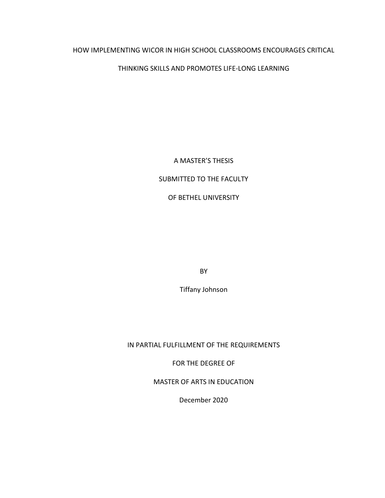### HOW IMPLEMENTING WICOR IN HIGH SCHOOL CLASSROOMS ENCOURAGES CRITICAL

### THINKING SKILLS AND PROMOTES LIFE-LONG LEARNING

### A MASTER'S THESIS

### SUBMITTED TO THE FACULTY

# OF BETHEL UNIVERSITY

BY

Tiffany Johnson

### IN PARTIAL FULFILLMENT OF THE REQUIREMENTS

FOR THE DEGREE OF

MASTER OF ARTS IN EDUCATION

December 2020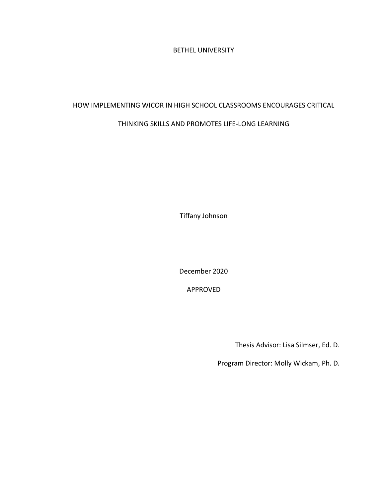BETHEL UNIVERSITY

### HOW IMPLEMENTING WICOR IN HIGH SCHOOL CLASSROOMS ENCOURAGES CRITICAL

# THINKING SKILLS AND PROMOTES LIFE-LONG LEARNING

Tiffany Johnson

December 2020

APPROVED

Thesis Advisor: Lisa Silmser, Ed. D.

Program Director: Molly Wickam, Ph. D.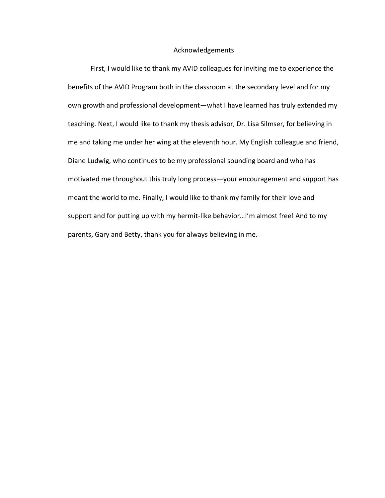#### Acknowledgements

First, I would like to thank my AVID colleagues for inviting me to experience the benefits of the AVID Program both in the classroom at the secondary level and for my own growth and professional development—what I have learned has truly extended my teaching. Next, I would like to thank my thesis advisor, Dr. Lisa Silmser, for believing in me and taking me under her wing at the eleventh hour. My English colleague and friend, Diane Ludwig, who continues to be my professional sounding board and who has motivated me throughout this truly long process—your encouragement and support has meant the world to me. Finally, I would like to thank my family for their love and support and for putting up with my hermit-like behavior...I'm almost free! And to my parents, Gary and Betty, thank you for always believing in me.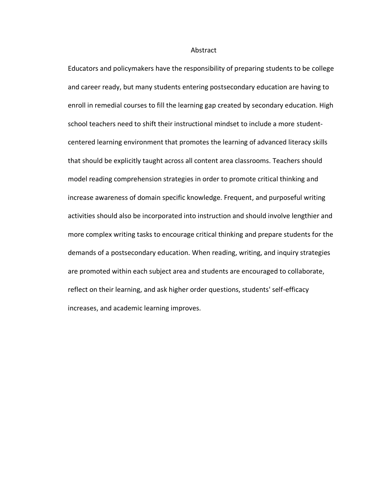#### Abstract

Educators and policymakers have the responsibility of preparing students to be college and career ready, but many students entering postsecondary education are having to enroll in remedial courses to fill the learning gap created by secondary education. High school teachers need to shift their instructional mindset to include a more studentcentered learning environment that promotes the learning of advanced literacy skills that should be explicitly taught across all content area classrooms. Teachers should model reading comprehension strategies in order to promote critical thinking and increase awareness of domain specific knowledge. Frequent, and purposeful writing activities should also be incorporated into instruction and should involve lengthier and more complex writing tasks to encourage critical thinking and prepare students for the demands of a postsecondary education. When reading, writing, and inquiry strategies are promoted within each subject area and students are encouraged to collaborate, reflect on their learning, and ask higher order questions, students' self-efficacy increases, and academic learning improves.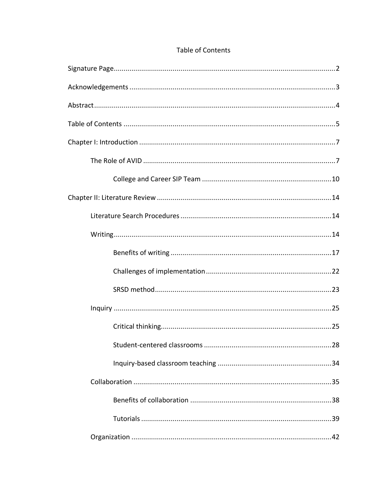| .28 |
|-----|
|     |
|     |
|     |
|     |
|     |

# Table of Contents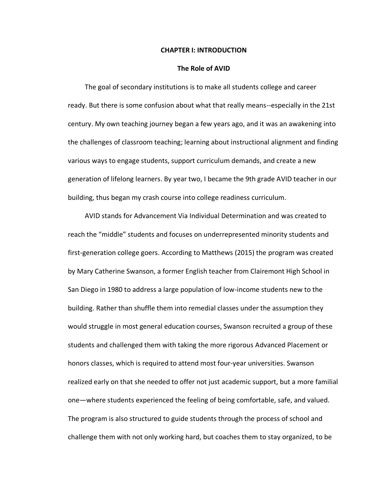#### **CHAPTER I: INTRODUCTION**

#### **The Role of AVID**

 The goal of secondary institutions is to make all students college and career ready. But there is some confusion about what that really means--especially in the 21st century. My own teaching journey began a few years ago, and it was an awakening into the challenges of classroom teaching; learning about instructional alignment and finding various ways to engage students, support curriculum demands, and create a new generation of lifelong learners. By year two, I became the 9th grade AVID teacher in our building, thus began my crash course into college readiness curriculum.

 AVID stands for Advancement Via Individual Determination and was created to reach the "middle" students and focuses on underrepresented minority students and first-generation college goers. According to Matthews (2015) the program was created by Mary Catherine Swanson, a former English teacher from Clairemont High School in San Diego in 1980 to address a large population of low-income students new to the building. Rather than shuffle them into remedial classes under the assumption they would struggle in most general education courses, Swanson recruited a group of these students and challenged them with taking the more rigorous Advanced Placement or honors classes, which is required to attend most four-year universities. Swanson realized early on that she needed to offer not just academic support, but a more familial one—where students experienced the feeling of being comfortable, safe, and valued. The program is also structured to guide students through the process of school and challenge them with not only working hard, but coaches them to stay organized, to be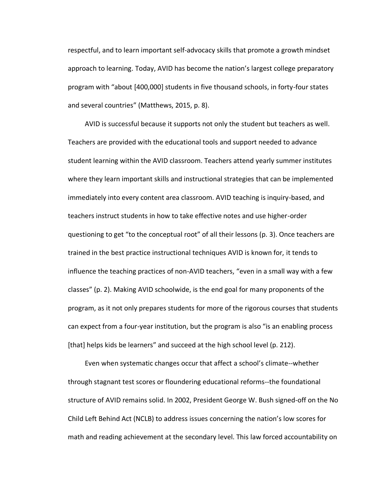respectful, and to learn important self-advocacy skills that promote a growth mindset approach to learning. Today, AVID has become the nation's largest college preparatory program with "about [400,000] students in five thousand schools, in forty-four states and several countries" (Matthews, 2015, p. 8).

 AVID is successful because it supports not only the student but teachers as well. Teachers are provided with the educational tools and support needed to advance student learning within the AVID classroom. Teachers attend yearly summer institutes where they learn important skills and instructional strategies that can be implemented immediately into every content area classroom. AVID teaching is inquiry-based, and teachers instruct students in how to take effective notes and use higher-order questioning to get "to the conceptual root" of all their lessons (p. 3). Once teachers are trained in the best practice instructional techniques AVID is known for, it tends to influence the teaching practices of non-AVID teachers, "even in a small way with a few classes" (p. 2). Making AVID schoolwide, is the end goal for many proponents of the program, as it not only prepares students for more of the rigorous courses that students can expect from a four-year institution, but the program is also "is an enabling process [that] helps kids be learners" and succeed at the high school level (p. 212).

 Even when systematic changes occur that affect a school's climate--whether through stagnant test scores or floundering educational reforms--the foundational structure of AVID remains solid. In 2002, President George W. Bush signed-off on the No Child Left Behind Act (NCLB) to address issues concerning the nation's low scores for math and reading achievement at the secondary level. This law forced accountability on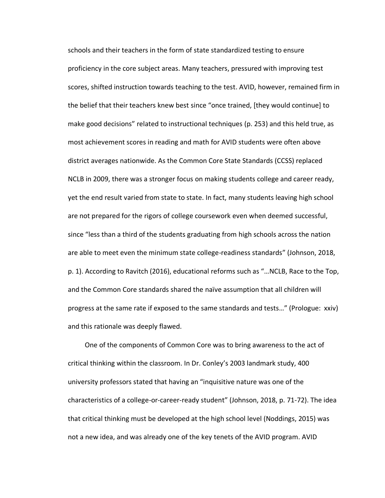schools and their teachers in the form of state standardized testing to ensure proficiency in the core subject areas. Many teachers, pressured with improving test scores, shifted instruction towards teaching to the test. AVID, however, remained firm in the belief that their teachers knew best since "once trained, [they would continue] to make good decisions" related to instructional techniques (p. 253) and this held true, as most achievement scores in reading and math for AVID students were often above district averages nationwide. As the Common Core State Standards (CCSS) replaced NCLB in 2009, there was a stronger focus on making students college and career ready, yet the end result varied from state to state. In fact, many students leaving high school are not prepared for the rigors of college coursework even when deemed successful, since "less than a third of the students graduating from high schools across the nation are able to meet even the minimum state college-readiness standards" (Johnson, 2018, p. 1). According to Ravitch (2016), educational reforms such as "…NCLB, Race to the Top, and the Common Core standards shared the naïve assumption that all children will progress at the same rate if exposed to the same standards and tests…" (Prologue: xxiv) and this rationale was deeply flawed.

 One of the components of Common Core was to bring awareness to the act of critical thinking within the classroom. In Dr. Conley's 2003 landmark study, 400 university professors stated that having an "inquisitive nature was one of the characteristics of a college-or-career-ready student" (Johnson, 2018, p. 71-72). The idea that critical thinking must be developed at the high school level (Noddings, 2015) was not a new idea, and was already one of the key tenets of the AVID program. AVID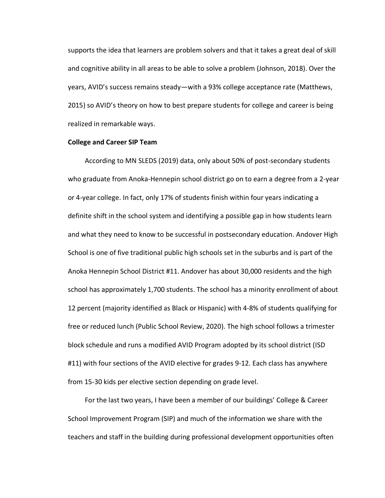supports the idea that learners are problem solvers and that it takes a great deal of skill and cognitive ability in all areas to be able to solve a problem (Johnson, 2018). Over the years, AVID's success remains steady—with a 93% college acceptance rate (Matthews, 2015) so AVID's theory on how to best prepare students for college and career is being realized in remarkable ways.

### **College and Career SIP Team**

 According to MN SLEDS (2019) data, only about 50% of post-secondary students who graduate from Anoka-Hennepin school district go on to earn a degree from a 2-year or 4-year college. In fact, only 17% of students finish within four years indicating a definite shift in the school system and identifying a possible gap in how students learn and what they need to know to be successful in postsecondary education. Andover High School is one of five traditional public high schools set in the suburbs and is part of the Anoka Hennepin School District #11. Andover has about 30,000 residents and the high school has approximately 1,700 students. The school has a minority enrollment of about 12 percent (majority identified as Black or Hispanic) with 4-8% of students qualifying for free or reduced lunch (Public School Review, 2020). The high school follows a trimester block schedule and runs a modified AVID Program adopted by its school district (ISD #11) with four sections of the AVID elective for grades 9-12. Each class has anywhere from 15-30 kids per elective section depending on grade level.

 For the last two years, I have been a member of our buildings' College & Career School Improvement Program (SIP) and much of the information we share with the teachers and staff in the building during professional development opportunities often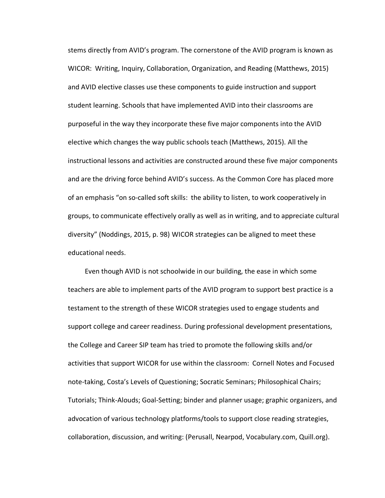stems directly from AVID's program. The cornerstone of the AVID program is known as WICOR: Writing, Inquiry, Collaboration, Organization, and Reading (Matthews, 2015) and AVID elective classes use these components to guide instruction and support student learning. Schools that have implemented AVID into their classrooms are purposeful in the way they incorporate these five major components into the AVID elective which changes the way public schools teach (Matthews, 2015). All the instructional lessons and activities are constructed around these five major components and are the driving force behind AVID's success. As the Common Core has placed more of an emphasis "on so-called soft skills: the ability to listen, to work cooperatively in groups, to communicate effectively orally as well as in writing, and to appreciate cultural diversity" (Noddings, 2015, p. 98) WICOR strategies can be aligned to meet these educational needs.

 Even though AVID is not schoolwide in our building, the ease in which some teachers are able to implement parts of the AVID program to support best practice is a testament to the strength of these WICOR strategies used to engage students and support college and career readiness. During professional development presentations, the College and Career SIP team has tried to promote the following skills and/or activities that support WICOR for use within the classroom: Cornell Notes and Focused note-taking, Costa's Levels of Questioning; Socratic Seminars; Philosophical Chairs; Tutorials; Think-Alouds; Goal-Setting; binder and planner usage; graphic organizers, and advocation of various technology platforms/tools to support close reading strategies, collaboration, discussion, and writing: (Perusall, Nearpod, Vocabulary.com, Quill.org).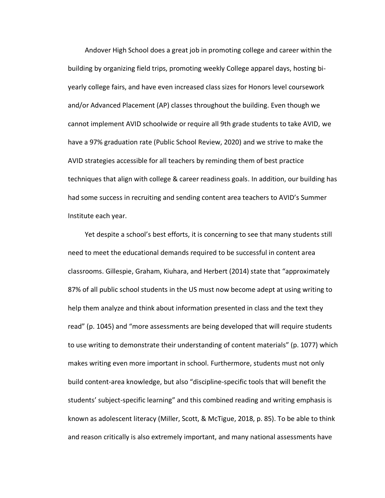Andover High School does a great job in promoting college and career within the building by organizing field trips, promoting weekly College apparel days, hosting biyearly college fairs, and have even increased class sizes for Honors level coursework and/or Advanced Placement (AP) classes throughout the building. Even though we cannot implement AVID schoolwide or require all 9th grade students to take AVID, we have a 97% graduation rate (Public School Review, 2020) and we strive to make the AVID strategies accessible for all teachers by reminding them of best practice techniques that align with college & career readiness goals. In addition, our building has had some success in recruiting and sending content area teachers to AVID's Summer Institute each year.

 Yet despite a school's best efforts, it is concerning to see that many students still need to meet the educational demands required to be successful in content area classrooms. Gillespie, Graham, Kiuhara, and Herbert (2014) state that "approximately 87% of all public school students in the US must now become adept at using writing to help them analyze and think about information presented in class and the text they read" (p. 1045) and "more assessments are being developed that will require students to use writing to demonstrate their understanding of content materials" (p. 1077) which makes writing even more important in school. Furthermore, students must not only build content-area knowledge, but also "discipline-specific tools that will benefit the students' subject-specific learning" and this combined reading and writing emphasis is known as adolescent literacy (Miller, Scott, & McTigue, 2018, p. 85). To be able to think and reason critically is also extremely important, and many national assessments have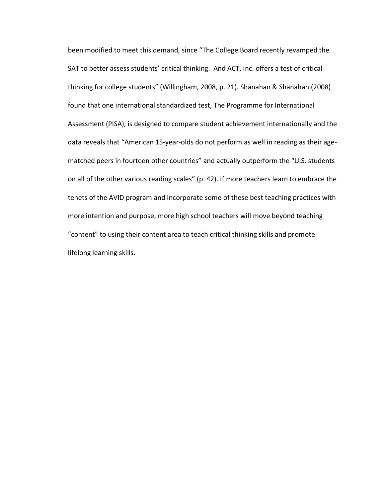been modified to meet this demand, since "The College Board recently revamped the SAT to better assess students' critical thinking. And ACT, Inc. offers a test of critical thinking for college students" (Willingham, 2008, p. 21). Shanahan & Shanahan (2008) found that one international standardized test, The Programme for International Assessment (PISA), is designed to compare student achievement internationally and the data reveals that "American 15-year-olds do not perform as well in reading as their agematched peers in fourteen other countries" and actually outperform the "U.S. students on all of the other various reading scales" (p. 42). If more teachers learn to embrace the tenets of the AVID program and incorporate some of these best teaching practices with more intention and purpose, more high school teachers will move beyond teaching "content" to using their content area to teach critical thinking skills and promote lifelong learning skills.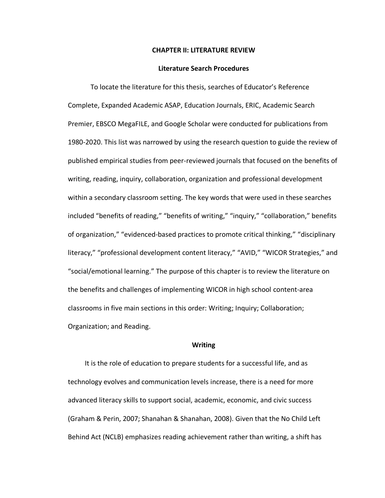#### **CHAPTER II: LITERATURE REVIEW**

#### **Literature Search Procedures**

To locate the literature for this thesis, searches of Educator's Reference Complete, Expanded Academic ASAP, Education Journals, ERIC, Academic Search Premier, EBSCO MegaFILE, and Google Scholar were conducted for publications from 1980-2020. This list was narrowed by using the research question to guide the review of published empirical studies from peer-reviewed journals that focused on the benefits of writing, reading, inquiry, collaboration, organization and professional development within a secondary classroom setting. The key words that were used in these searches included "benefits of reading," "benefits of writing," "inquiry," "collaboration," benefits of organization," "evidenced-based practices to promote critical thinking," "disciplinary literacy," "professional development content literacy," "AVID," "WICOR Strategies," and "social/emotional learning." The purpose of this chapter is to review the literature on the benefits and challenges of implementing WICOR in high school content-area classrooms in five main sections in this order: Writing; Inquiry; Collaboration; Organization; and Reading.

#### **Writing**

 It is the role of education to prepare students for a successful life, and as technology evolves and communication levels increase, there is a need for more advanced literacy skills to support social, academic, economic, and civic success (Graham & Perin, 2007; Shanahan & Shanahan, 2008). Given that the No Child Left Behind Act (NCLB) emphasizes reading achievement rather than writing, a shift has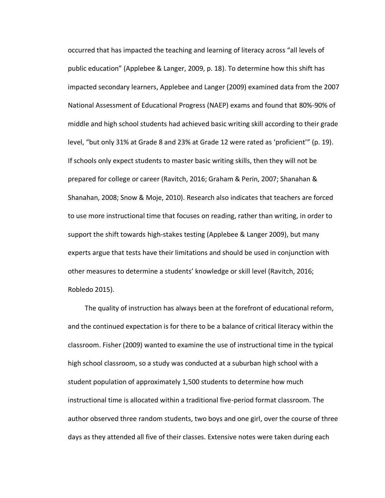occurred that has impacted the teaching and learning of literacy across "all levels of public education" (Applebee & Langer, 2009, p. 18). To determine how this shift has impacted secondary learners, Applebee and Langer (2009) examined data from the 2007 National Assessment of Educational Progress (NAEP) exams and found that 80%-90% of middle and high school students had achieved basic writing skill according to their grade level, "but only 31% at Grade 8 and 23% at Grade 12 were rated as 'proficient'" (p. 19). If schools only expect students to master basic writing skills, then they will not be prepared for college or career (Ravitch, 2016; Graham & Perin, 2007; Shanahan & Shanahan, 2008; Snow & Moje, 2010). Research also indicates that teachers are forced to use more instructional time that focuses on reading, rather than writing, in order to support the shift towards high-stakes testing (Applebee & Langer 2009), but many experts argue that tests have their limitations and should be used in conjunction with other measures to determine a students' knowledge or skill level (Ravitch, 2016; Robledo 2015).

 The quality of instruction has always been at the forefront of educational reform, and the continued expectation is for there to be a balance of critical literacy within the classroom. Fisher (2009) wanted to examine the use of instructional time in the typical high school classroom, so a study was conducted at a suburban high school with a student population of approximately 1,500 students to determine how much instructional time is allocated within a traditional five-period format classroom. The author observed three random students, two boys and one girl, over the course of three days as they attended all five of their classes. Extensive notes were taken during each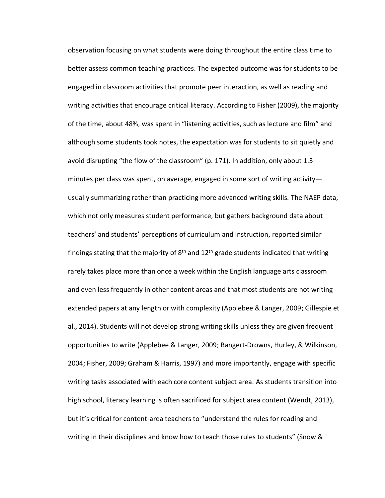observation focusing on what students were doing throughout the entire class time to better assess common teaching practices. The expected outcome was for students to be engaged in classroom activities that promote peer interaction, as well as reading and writing activities that encourage critical literacy. According to Fisher (2009), the majority of the time, about 48%, was spent in "listening activities, such as lecture and film" and although some students took notes, the expectation was for students to sit quietly and avoid disrupting "the flow of the classroom" (p. 171). In addition, only about 1.3 minutes per class was spent, on average, engaged in some sort of writing activity usually summarizing rather than practicing more advanced writing skills. The NAEP data, which not only measures student performance, but gathers background data about teachers' and students' perceptions of curriculum and instruction, reported similar findings stating that the majority of  $8<sup>th</sup>$  and  $12<sup>th</sup>$  grade students indicated that writing rarely takes place more than once a week within the English language arts classroom and even less frequently in other content areas and that most students are not writing extended papers at any length or with complexity (Applebee & Langer, 2009; Gillespie et al., 2014). Students will not develop strong writing skills unless they are given frequent opportunities to write (Applebee & Langer, 2009; Bangert-Drowns, Hurley, & Wilkinson, 2004; Fisher, 2009; Graham & Harris, 1997) and more importantly, engage with specific writing tasks associated with each core content subject area. As students transition into high school, literacy learning is often sacrificed for subject area content (Wendt, 2013), but it's critical for content-area teachers to "understand the rules for reading and writing in their disciplines and know how to teach those rules to students" (Snow &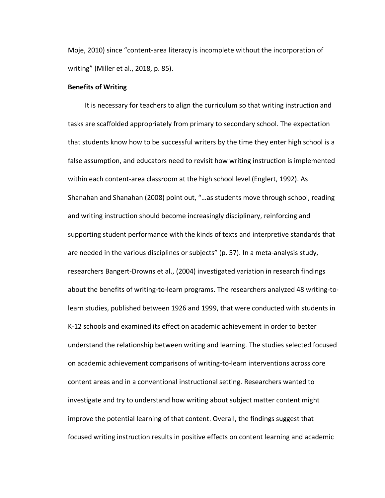Moje, 2010) since "content-area literacy is incomplete without the incorporation of writing" (Miller et al., 2018, p. 85).

#### **Benefits of Writing**

It is necessary for teachers to align the curriculum so that writing instruction and tasks are scaffolded appropriately from primary to secondary school. The expectation that students know how to be successful writers by the time they enter high school is a false assumption, and educators need to revisit how writing instruction is implemented within each content-area classroom at the high school level (Englert, 1992). As Shanahan and Shanahan (2008) point out, "…as students move through school, reading and writing instruction should become increasingly disciplinary, reinforcing and supporting student performance with the kinds of texts and interpretive standards that are needed in the various disciplines or subjects" (p. 57). In a meta-analysis study, researchers Bangert-Drowns et al., (2004) investigated variation in research findings about the benefits of writing-to-learn programs. The researchers analyzed 48 writing-tolearn studies, published between 1926 and 1999, that were conducted with students in K-12 schools and examined its effect on academic achievement in order to better understand the relationship between writing and learning. The studies selected focused on academic achievement comparisons of writing-to-learn interventions across core content areas and in a conventional instructional setting. Researchers wanted to investigate and try to understand how writing about subject matter content might improve the potential learning of that content. Overall, the findings suggest that focused writing instruction results in positive effects on content learning and academic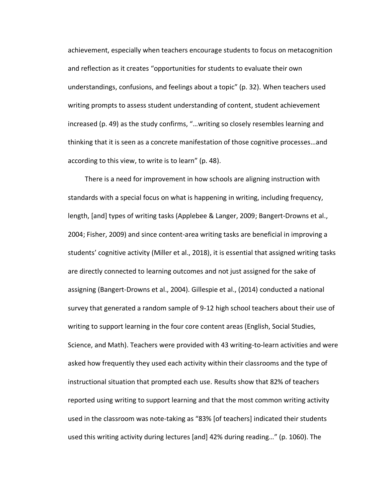achievement, especially when teachers encourage students to focus on metacognition and reflection as it creates "opportunities for students to evaluate their own understandings, confusions, and feelings about a topic" (p. 32). When teachers used writing prompts to assess student understanding of content, student achievement increased (p. 49) as the study confirms, "…writing so closely resembles learning and thinking that it is seen as a concrete manifestation of those cognitive processes…and according to this view, to write is to learn" (p. 48).

 There is a need for improvement in how schools are aligning instruction with standards with a special focus on what is happening in writing, including frequency, length, [and] types of writing tasks (Applebee & Langer, 2009; Bangert-Drowns et al., 2004; Fisher, 2009) and since content-area writing tasks are beneficial in improving a students' cognitive activity (Miller et al., 2018), it is essential that assigned writing tasks are directly connected to learning outcomes and not just assigned for the sake of assigning (Bangert-Drowns et al., 2004). Gillespie et al., (2014) conducted a national survey that generated a random sample of 9-12 high school teachers about their use of writing to support learning in the four core content areas (English, Social Studies, Science, and Math). Teachers were provided with 43 writing-to-learn activities and were asked how frequently they used each activity within their classrooms and the type of instructional situation that prompted each use. Results show that 82% of teachers reported using writing to support learning and that the most common writing activity used in the classroom was note-taking as "83% [of teachers] indicated their students used this writing activity during lectures [and] 42% during reading…" (p. 1060). The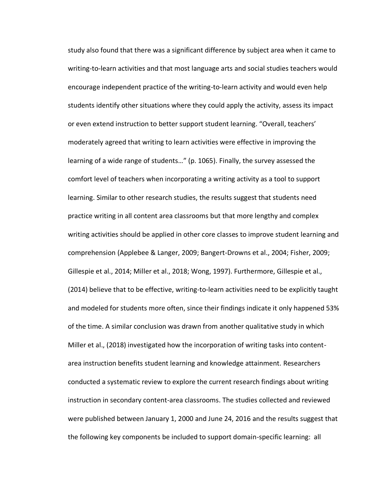study also found that there was a significant difference by subject area when it came to writing-to-learn activities and that most language arts and social studies teachers would encourage independent practice of the writing-to-learn activity and would even help students identify other situations where they could apply the activity, assess its impact or even extend instruction to better support student learning. "Overall, teachers' moderately agreed that writing to learn activities were effective in improving the learning of a wide range of students…" (p. 1065). Finally, the survey assessed the comfort level of teachers when incorporating a writing activity as a tool to support learning. Similar to other research studies, the results suggest that students need practice writing in all content area classrooms but that more lengthy and complex writing activities should be applied in other core classes to improve student learning and comprehension (Applebee & Langer, 2009; Bangert-Drowns et al., 2004; Fisher, 2009; Gillespie et al., 2014; Miller et al., 2018; Wong, 1997). Furthermore, Gillespie et al., (2014) believe that to be effective, writing-to-learn activities need to be explicitly taught and modeled for students more often, since their findings indicate it only happened 53% of the time. A similar conclusion was drawn from another qualitative study in which Miller et al., (2018) investigated how the incorporation of writing tasks into contentarea instruction benefits student learning and knowledge attainment. Researchers conducted a systematic review to explore the current research findings about writing instruction in secondary content-area classrooms. The studies collected and reviewed were published between January 1, 2000 and June 24, 2016 and the results suggest that the following key components be included to support domain-specific learning: all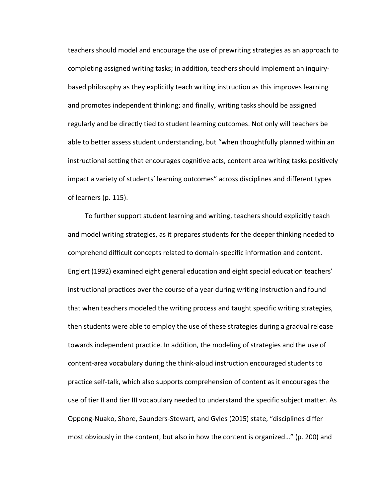teachers should model and encourage the use of prewriting strategies as an approach to completing assigned writing tasks; in addition, teachers should implement an inquirybased philosophy as they explicitly teach writing instruction as this improves learning and promotes independent thinking; and finally, writing tasks should be assigned regularly and be directly tied to student learning outcomes. Not only will teachers be able to better assess student understanding, but "when thoughtfully planned within an instructional setting that encourages cognitive acts, content area writing tasks positively impact a variety of students' learning outcomes" across disciplines and different types of learners (p. 115).

 To further support student learning and writing, teachers should explicitly teach and model writing strategies, as it prepares students for the deeper thinking needed to comprehend difficult concepts related to domain-specific information and content. Englert (1992) examined eight general education and eight special education teachers' instructional practices over the course of a year during writing instruction and found that when teachers modeled the writing process and taught specific writing strategies, then students were able to employ the use of these strategies during a gradual release towards independent practice. In addition, the modeling of strategies and the use of content-area vocabulary during the think-aloud instruction encouraged students to practice self-talk, which also supports comprehension of content as it encourages the use of tier II and tier III vocabulary needed to understand the specific subject matter. As Oppong-Nuako, Shore, Saunders-Stewart, and Gyles (2015) state, "disciplines differ most obviously in the content, but also in how the content is organized…" (p. 200) and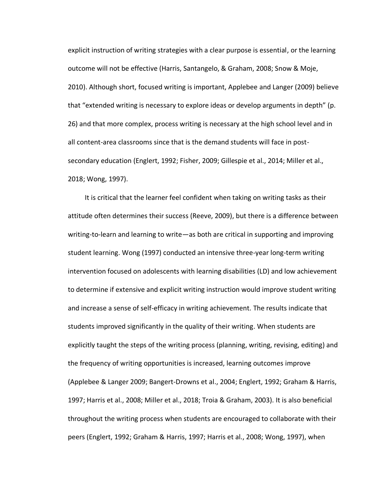explicit instruction of writing strategies with a clear purpose is essential, or the learning outcome will not be effective (Harris, Santangelo, & Graham, 2008; Snow & Moje, 2010). Although short, focused writing is important, Applebee and Langer (2009) believe that "extended writing is necessary to explore ideas or develop arguments in depth" (p. 26) and that more complex, process writing is necessary at the high school level and in all content-area classrooms since that is the demand students will face in postsecondary education (Englert, 1992; Fisher, 2009; Gillespie et al., 2014; Miller et al., 2018; Wong, 1997).

 It is critical that the learner feel confident when taking on writing tasks as their attitude often determines their success (Reeve, 2009), but there is a difference between writing-to-learn and learning to write—as both are critical in supporting and improving student learning. Wong (1997) conducted an intensive three-year long-term writing intervention focused on adolescents with learning disabilities (LD) and low achievement to determine if extensive and explicit writing instruction would improve student writing and increase a sense of self-efficacy in writing achievement. The results indicate that students improved significantly in the quality of their writing. When students are explicitly taught the steps of the writing process (planning, writing, revising, editing) and the frequency of writing opportunities is increased, learning outcomes improve (Applebee & Langer 2009; Bangert-Drowns et al., 2004; Englert, 1992; Graham & Harris, 1997; Harris et al., 2008; Miller et al., 2018; Troia & Graham, 2003). It is also beneficial throughout the writing process when students are encouraged to collaborate with their peers (Englert, 1992; Graham & Harris, 1997; Harris et al., 2008; Wong, 1997), when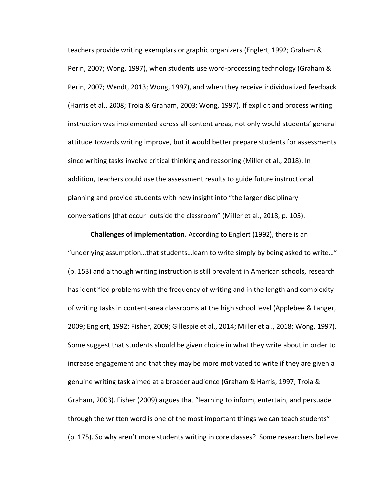teachers provide writing exemplars or graphic organizers (Englert, 1992; Graham & Perin, 2007; Wong, 1997), when students use word-processing technology (Graham & Perin, 2007; Wendt, 2013; Wong, 1997), and when they receive individualized feedback (Harris et al., 2008; Troia & Graham, 2003; Wong, 1997). If explicit and process writing instruction was implemented across all content areas, not only would students' general attitude towards writing improve, but it would better prepare students for assessments since writing tasks involve critical thinking and reasoning (Miller et al., 2018). In addition, teachers could use the assessment results to guide future instructional planning and provide students with new insight into "the larger disciplinary conversations [that occur] outside the classroom" (Miller et al., 2018, p. 105).

**Challenges of implementation.** According to Englert (1992), there is an "underlying assumption…that students…learn to write simply by being asked to write…" (p. 153) and although writing instruction is still prevalent in American schools, research has identified problems with the frequency of writing and in the length and complexity of writing tasks in content-area classrooms at the high school level (Applebee & Langer, 2009; Englert, 1992; Fisher, 2009; Gillespie et al., 2014; Miller et al., 2018; Wong, 1997). Some suggest that students should be given choice in what they write about in order to increase engagement and that they may be more motivated to write if they are given a genuine writing task aimed at a broader audience (Graham & Harris, 1997; Troia & Graham, 2003). Fisher (2009) argues that "learning to inform, entertain, and persuade through the written word is one of the most important things we can teach students" (p. 175). So why aren't more students writing in core classes? Some researchers believe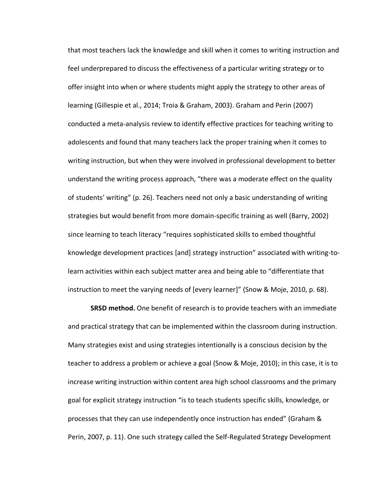that most teachers lack the knowledge and skill when it comes to writing instruction and feel underprepared to discuss the effectiveness of a particular writing strategy or to offer insight into when or where students might apply the strategy to other areas of learning (Gillespie et al., 2014; Troia & Graham, 2003). Graham and Perin (2007) conducted a meta-analysis review to identify effective practices for teaching writing to adolescents and found that many teachers lack the proper training when it comes to writing instruction, but when they were involved in professional development to better understand the writing process approach, "there was a moderate effect on the quality of students' writing" (p. 26). Teachers need not only a basic understanding of writing strategies but would benefit from more domain-specific training as well (Barry, 2002) since learning to teach literacy "requires sophisticated skills to embed thoughtful knowledge development practices [and] strategy instruction" associated with writing-tolearn activities within each subject matter area and being able to "differentiate that instruction to meet the varying needs of [every learner]" (Snow & Moje, 2010, p. 68).

**SRSD method.** One benefit of research is to provide teachers with an immediate and practical strategy that can be implemented within the classroom during instruction. Many strategies exist and using strategies intentionally is a conscious decision by the teacher to address a problem or achieve a goal (Snow & Moje, 2010); in this case, it is to increase writing instruction within content area high school classrooms and the primary goal for explicit strategy instruction "is to teach students specific skills, knowledge, or processes that they can use independently once instruction has ended" (Graham & Perin, 2007, p. 11). One such strategy called the Self-Regulated Strategy Development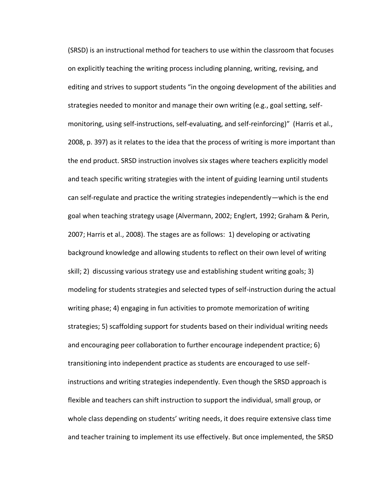(SRSD) is an instructional method for teachers to use within the classroom that focuses on explicitly teaching the writing process including planning, writing, revising, and editing and strives to support students "in the ongoing development of the abilities and strategies needed to monitor and manage their own writing (e.g., goal setting, selfmonitoring, using self-instructions, self-evaluating, and self-reinforcing)" (Harris et al., 2008, p. 397) as it relates to the idea that the process of writing is more important than the end product. SRSD instruction involves six stages where teachers explicitly model and teach specific writing strategies with the intent of guiding learning until students can self-regulate and practice the writing strategies independently—which is the end goal when teaching strategy usage (Alvermann, 2002; Englert, 1992; Graham & Perin, 2007; Harris et al., 2008). The stages are as follows: 1) developing or activating background knowledge and allowing students to reflect on their own level of writing skill; 2) discussing various strategy use and establishing student writing goals; 3) modeling for students strategies and selected types of self-instruction during the actual writing phase; 4) engaging in fun activities to promote memorization of writing strategies; 5) scaffolding support for students based on their individual writing needs and encouraging peer collaboration to further encourage independent practice; 6) transitioning into independent practice as students are encouraged to use selfinstructions and writing strategies independently. Even though the SRSD approach is flexible and teachers can shift instruction to support the individual, small group, or whole class depending on students' writing needs, it does require extensive class time and teacher training to implement its use effectively. But once implemented, the SRSD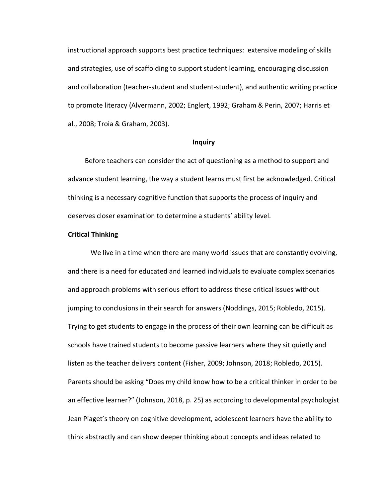instructional approach supports best practice techniques: extensive modeling of skills and strategies, use of scaffolding to support student learning, encouraging discussion and collaboration (teacher-student and student-student), and authentic writing practice to promote literacy (Alvermann, 2002; Englert, 1992; Graham & Perin, 2007; Harris et al., 2008; Troia & Graham, 2003).

#### **Inquiry**

Before teachers can consider the act of questioning as a method to support and advance student learning, the way a student learns must first be acknowledged. Critical thinking is a necessary cognitive function that supports the process of inquiry and deserves closer examination to determine a students' ability level.

#### **Critical Thinking**

We live in a time when there are many world issues that are constantly evolving, and there is a need for educated and learned individuals to evaluate complex scenarios and approach problems with serious effort to address these critical issues without jumping to conclusions in their search for answers (Noddings, 2015; Robledo, 2015). Trying to get students to engage in the process of their own learning can be difficult as schools have trained students to become passive learners where they sit quietly and listen as the teacher delivers content (Fisher, 2009; Johnson, 2018; Robledo, 2015). Parents should be asking "Does my child know how to be a critical thinker in order to be an effective learner?" (Johnson, 2018, p. 25) as according to developmental psychologist Jean Piaget's theory on cognitive development, adolescent learners have the ability to think abstractly and can show deeper thinking about concepts and ideas related to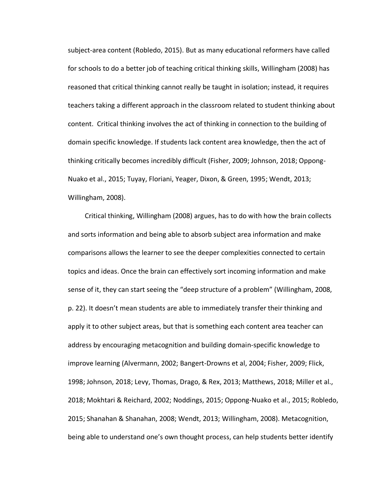subject-area content (Robledo, 2015). But as many educational reformers have called for schools to do a better job of teaching critical thinking skills, Willingham (2008) has reasoned that critical thinking cannot really be taught in isolation; instead, it requires teachers taking a different approach in the classroom related to student thinking about content. Critical thinking involves the act of thinking in connection to the building of domain specific knowledge. If students lack content area knowledge, then the act of thinking critically becomes incredibly difficult (Fisher, 2009; Johnson, 2018; Oppong-Nuako et al., 2015; Tuyay, Floriani, Yeager, Dixon, & Green, 1995; Wendt, 2013; Willingham, 2008).

 Critical thinking, Willingham (2008) argues, has to do with how the brain collects and sorts information and being able to absorb subject area information and make comparisons allows the learner to see the deeper complexities connected to certain topics and ideas. Once the brain can effectively sort incoming information and make sense of it, they can start seeing the "deep structure of a problem" (Willingham, 2008, p. 22). It doesn't mean students are able to immediately transfer their thinking and apply it to other subject areas, but that is something each content area teacher can address by encouraging metacognition and building domain-specific knowledge to improve learning (Alvermann, 2002; Bangert-Drowns et al, 2004; Fisher, 2009; Flick, 1998; Johnson, 2018; Levy, Thomas, Drago, & Rex, 2013; Matthews, 2018; Miller et al., 2018; Mokhtari & Reichard, 2002; Noddings, 2015; Oppong-Nuako et al., 2015; Robledo, 2015; Shanahan & Shanahan, 2008; Wendt, 2013; Willingham, 2008). Metacognition, being able to understand one's own thought process, can help students better identify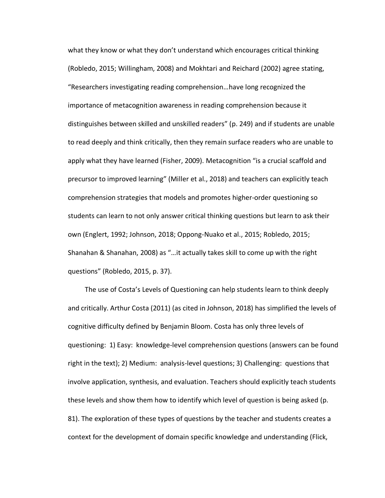what they know or what they don't understand which encourages critical thinking (Robledo, 2015; Willingham, 2008) and Mokhtari and Reichard (2002) agree stating, "Researchers investigating reading comprehension…have long recognized the importance of metacognition awareness in reading comprehension because it distinguishes between skilled and unskilled readers" (p. 249) and if students are unable to read deeply and think critically, then they remain surface readers who are unable to apply what they have learned (Fisher, 2009). Metacognition "is a crucial scaffold and precursor to improved learning" (Miller et al., 2018) and teachers can explicitly teach comprehension strategies that models and promotes higher-order questioning so students can learn to not only answer critical thinking questions but learn to ask their own (Englert, 1992; Johnson, 2018; Oppong-Nuako et al., 2015; Robledo, 2015; Shanahan & Shanahan, 2008) as "…it actually takes skill to come up with the right questions" (Robledo, 2015, p. 37).

 The use of Costa's Levels of Questioning can help students learn to think deeply and critically. Arthur Costa (2011) (as cited in Johnson, 2018) has simplified the levels of cognitive difficulty defined by Benjamin Bloom. Costa has only three levels of questioning: 1) Easy: knowledge-level comprehension questions (answers can be found right in the text); 2) Medium: analysis-level questions; 3) Challenging: questions that involve application, synthesis, and evaluation. Teachers should explicitly teach students these levels and show them how to identify which level of question is being asked (p. 81). The exploration of these types of questions by the teacher and students creates a context for the development of domain specific knowledge and understanding (Flick,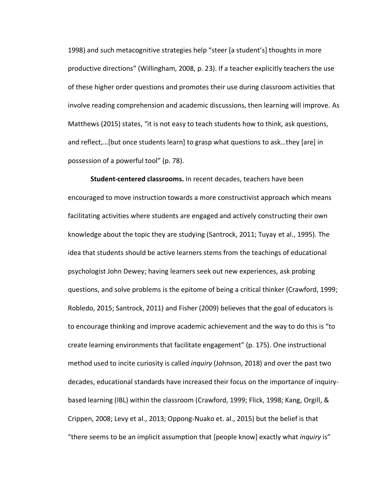1998) and such metacognitive strategies help "steer [a student's] thoughts in more productive directions" (Willingham, 2008, p. 23). If a teacher explicitly teachers the use of these higher order questions and promotes their use during classroom activities that involve reading comprehension and academic discussions, then learning will improve. As Matthews (2015) states, "it is not easy to teach students how to think, ask questions, and reflect,…[but once students learn] to grasp what questions to ask…they [are] in possession of a powerful tool" (p. 78).

**Student-centered classrooms.** In recent decades, teachers have been encouraged to move instruction towards a more constructivist approach which means facilitating activities where students are engaged and actively constructing their own knowledge about the topic they are studying (Santrock, 2011; Tuyay et al., 1995). The idea that students should be active learners stems from the teachings of educational psychologist John Dewey; having learners seek out new experiences, ask probing questions, and solve problems is the epitome of being a critical thinker (Crawford, 1999; Robledo, 2015; Santrock, 2011) and Fisher (2009) believes that the goal of educators is to encourage thinking and improve academic achievement and the way to do this is "to create learning environments that facilitate engagement" (p. 175). One instructional method used to incite curiosity is called *inquiry* (Johnson, 2018) and over the past two decades, educational standards have increased their focus on the importance of inquirybased learning (IBL) within the classroom (Crawford, 1999; Flick, 1998; Kang, Orgill, & Crippen, 2008; Levy et al., 2013; Oppong-Nuako et. al., 2015) but the belief is that "there seems to be an implicit assumption that [people know] exactly what *inquiry* is"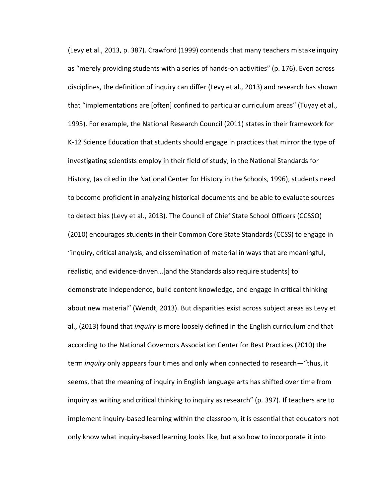(Levy et al., 2013, p. 387). Crawford (1999) contends that many teachers mistake inquiry as "merely providing students with a series of hands-on activities" (p. 176). Even across disciplines, the definition of inquiry can differ (Levy et al., 2013) and research has shown that "implementations are [often] confined to particular curriculum areas" (Tuyay et al., 1995). For example, the National Research Council (2011) states in their framework for K-12 Science Education that students should engage in practices that mirror the type of investigating scientists employ in their field of study; in the National Standards for History, (as cited in the National Center for History in the Schools, 1996), students need to become proficient in analyzing historical documents and be able to evaluate sources to detect bias (Levy et al., 2013). The Council of Chief State School Officers (CCSSO) (2010) encourages students in their Common Core State Standards (CCSS) to engage in "inquiry, critical analysis, and dissemination of material in ways that are meaningful, realistic, and evidence-driven…[and the Standards also require students] to demonstrate independence, build content knowledge, and engage in critical thinking about new material" (Wendt, 2013). But disparities exist across subject areas as Levy et al., (2013) found that *inquiry* is more loosely defined in the English curriculum and that according to the National Governors Association Center for Best Practices (2010) the term *inquiry* only appears four times and only when connected to research—"thus, it seems, that the meaning of inquiry in English language arts has shifted over time from inquiry as writing and critical thinking to inquiry as research" (p. 397). If teachers are to implement inquiry-based learning within the classroom, it is essential that educators not only know what inquiry-based learning looks like, but also how to incorporate it into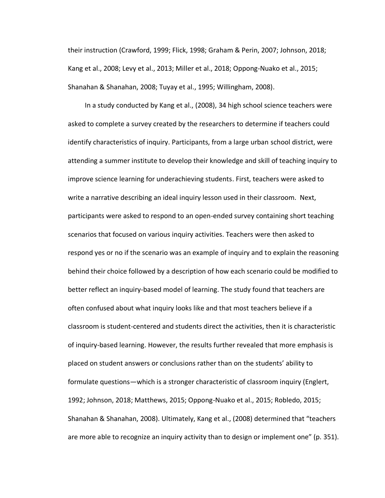their instruction (Crawford, 1999; Flick, 1998; Graham & Perin, 2007; Johnson, 2018; Kang et al., 2008; Levy et al., 2013; Miller et al., 2018; Oppong-Nuako et al., 2015; Shanahan & Shanahan, 2008; Tuyay et al., 1995; Willingham, 2008).

 In a study conducted by Kang et al., (2008), 34 high school science teachers were asked to complete a survey created by the researchers to determine if teachers could identify characteristics of inquiry. Participants, from a large urban school district, were attending a summer institute to develop their knowledge and skill of teaching inquiry to improve science learning for underachieving students. First, teachers were asked to write a narrative describing an ideal inquiry lesson used in their classroom. Next, participants were asked to respond to an open-ended survey containing short teaching scenarios that focused on various inquiry activities. Teachers were then asked to respond yes or no if the scenario was an example of inquiry and to explain the reasoning behind their choice followed by a description of how each scenario could be modified to better reflect an inquiry-based model of learning. The study found that teachers are often confused about what inquiry looks like and that most teachers believe if a classroom is student-centered and students direct the activities, then it is characteristic of inquiry-based learning. However, the results further revealed that more emphasis is placed on student answers or conclusions rather than on the students' ability to formulate questions—which is a stronger characteristic of classroom inquiry (Englert, 1992; Johnson, 2018; Matthews, 2015; Oppong-Nuako et al., 2015; Robledo, 2015; Shanahan & Shanahan, 2008). Ultimately, Kang et al., (2008) determined that "teachers are more able to recognize an inquiry activity than to design or implement one" (p. 351).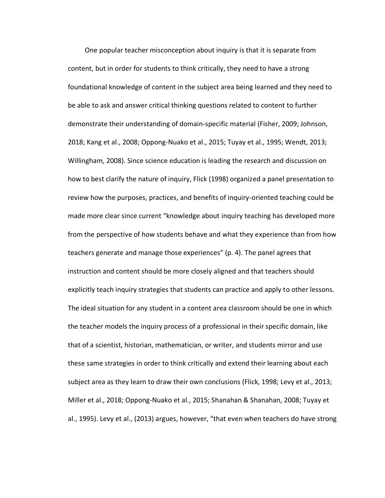One popular teacher misconception about inquiry is that it is separate from content, but in order for students to think critically, they need to have a strong foundational knowledge of content in the subject area being learned and they need to be able to ask and answer critical thinking questions related to content to further demonstrate their understanding of domain-specific material (Fisher, 2009; Johnson, 2018; Kang et al., 2008; Oppong-Nuako et al., 2015; Tuyay et al., 1995; Wendt, 2013; Willingham, 2008). Since science education is leading the research and discussion on how to best clarify the nature of inquiry, Flick (1998) organized a panel presentation to review how the purposes, practices, and benefits of inquiry-oriented teaching could be made more clear since current "knowledge about inquiry teaching has developed more from the perspective of how students behave and what they experience than from how teachers generate and manage those experiences" (p. 4). The panel agrees that instruction and content should be more closely aligned and that teachers should explicitly teach inquiry strategies that students can practice and apply to other lessons. The ideal situation for any student in a content area classroom should be one in which the teacher models the inquiry process of a professional in their specific domain, like that of a scientist, historian, mathematician, or writer, and students mirror and use these same strategies in order to think critically and extend their learning about each subject area as they learn to draw their own conclusions (Flick, 1998; Levy et al., 2013; Miller et al., 2018; Oppong-Nuako et al., 2015; Shanahan & Shanahan, 2008; Tuyay et al., 1995). Levy et al., (2013) argues, however, "that even when teachers do have strong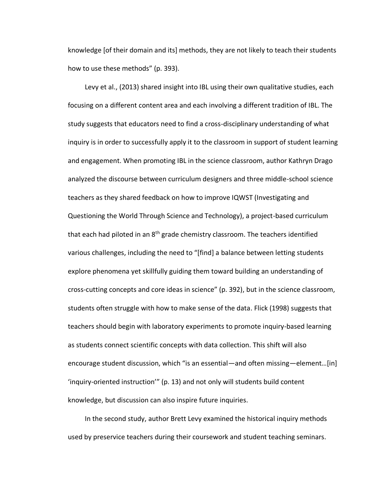knowledge [of their domain and its] methods, they are not likely to teach their students how to use these methods" (p. 393).

 Levy et al., (2013) shared insight into IBL using their own qualitative studies, each focusing on a different content area and each involving a different tradition of IBL. The study suggests that educators need to find a cross-disciplinary understanding of what inquiry is in order to successfully apply it to the classroom in support of student learning and engagement. When promoting IBL in the science classroom, author Kathryn Drago analyzed the discourse between curriculum designers and three middle-school science teachers as they shared feedback on how to improve IQWST (Investigating and Questioning the World Through Science and Technology), a project-based curriculum that each had piloted in an 8<sup>th</sup> grade chemistry classroom. The teachers identified various challenges, including the need to "[find] a balance between letting students explore phenomena yet skillfully guiding them toward building an understanding of cross-cutting concepts and core ideas in science" (p. 392), but in the science classroom, students often struggle with how to make sense of the data. Flick (1998) suggests that teachers should begin with laboratory experiments to promote inquiry-based learning as students connect scientific concepts with data collection. This shift will also encourage student discussion, which "is an essential—and often missing—element…[in] 'inquiry-oriented instruction'" (p. 13) and not only will students build content knowledge, but discussion can also inspire future inquiries.

 In the second study, author Brett Levy examined the historical inquiry methods used by preservice teachers during their coursework and student teaching seminars.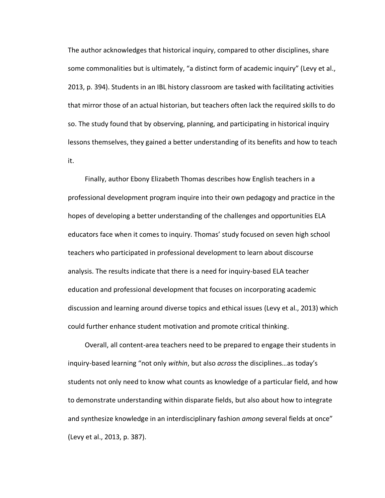The author acknowledges that historical inquiry, compared to other disciplines, share some commonalities but is ultimately, "a distinct form of academic inquiry" (Levy et al., 2013, p. 394). Students in an IBL history classroom are tasked with facilitating activities that mirror those of an actual historian, but teachers often lack the required skills to do so. The study found that by observing, planning, and participating in historical inquiry lessons themselves, they gained a better understanding of its benefits and how to teach it.

 Finally, author Ebony Elizabeth Thomas describes how English teachers in a professional development program inquire into their own pedagogy and practice in the hopes of developing a better understanding of the challenges and opportunities ELA educators face when it comes to inquiry. Thomas' study focused on seven high school teachers who participated in professional development to learn about discourse analysis. The results indicate that there is a need for inquiry-based ELA teacher education and professional development that focuses on incorporating academic discussion and learning around diverse topics and ethical issues (Levy et al., 2013) which could further enhance student motivation and promote critical thinking.

 Overall, all content-area teachers need to be prepared to engage their students in inquiry-based learning "not only *within*, but also *across* the disciplines…as today's students not only need to know what counts as knowledge of a particular field, and how to demonstrate understanding within disparate fields, but also about how to integrate and synthesize knowledge in an interdisciplinary fashion *among* several fields at once" (Levy et al., 2013, p. 387).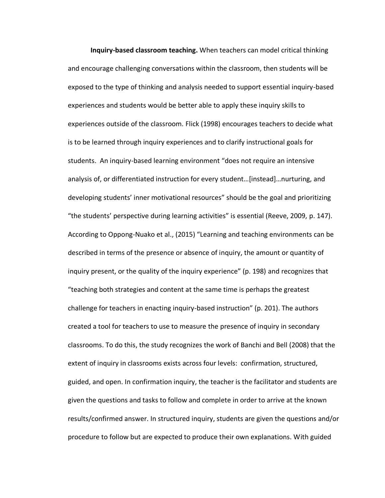**Inquiry-based classroom teaching.** When teachers can model critical thinking and encourage challenging conversations within the classroom, then students will be exposed to the type of thinking and analysis needed to support essential inquiry-based experiences and students would be better able to apply these inquiry skills to experiences outside of the classroom. Flick (1998) encourages teachers to decide what is to be learned through inquiry experiences and to clarify instructional goals for students. An inquiry-based learning environment "does not require an intensive analysis of, or differentiated instruction for every student…[instead]…nurturing, and developing students' inner motivational resources" should be the goal and prioritizing "the students' perspective during learning activities" is essential (Reeve, 2009, p. 147). According to Oppong-Nuako et al., (2015) "Learning and teaching environments can be described in terms of the presence or absence of inquiry, the amount or quantity of inquiry present, or the quality of the inquiry experience" (p. 198) and recognizes that "teaching both strategies and content at the same time is perhaps the greatest challenge for teachers in enacting inquiry-based instruction" (p. 201). The authors created a tool for teachers to use to measure the presence of inquiry in secondary classrooms. To do this, the study recognizes the work of Banchi and Bell (2008) that the extent of inquiry in classrooms exists across four levels: confirmation, structured, guided, and open. In confirmation inquiry, the teacher is the facilitator and students are given the questions and tasks to follow and complete in order to arrive at the known results/confirmed answer. In structured inquiry, students are given the questions and/or procedure to follow but are expected to produce their own explanations. With guided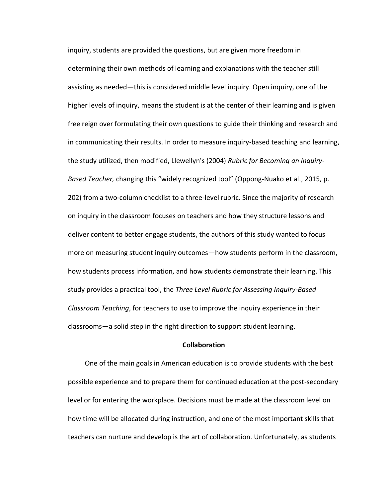inquiry, students are provided the questions, but are given more freedom in determining their own methods of learning and explanations with the teacher still assisting as needed—this is considered middle level inquiry. Open inquiry, one of the higher levels of inquiry, means the student is at the center of their learning and is given free reign over formulating their own questions to guide their thinking and research and in communicating their results. In order to measure inquiry-based teaching and learning, the study utilized, then modified, Llewellyn's (2004) *Rubric for Becoming an Inquiry-Based Teacher,* changing this "widely recognized tool" (Oppong-Nuako et al., 2015, p. 202) from a two-column checklist to a three-level rubric. Since the majority of research on inquiry in the classroom focuses on teachers and how they structure lessons and deliver content to better engage students, the authors of this study wanted to focus more on measuring student inquiry outcomes—how students perform in the classroom, how students process information, and how students demonstrate their learning. This study provides a practical tool, the *Three Level Rubric for Assessing Inquiry-Based Classroom Teaching*, for teachers to use to improve the inquiry experience in their classrooms—a solid step in the right direction to support student learning.

#### **Collaboration**

 One of the main goals in American education is to provide students with the best possible experience and to prepare them for continued education at the post-secondary level or for entering the workplace. Decisions must be made at the classroom level on how time will be allocated during instruction, and one of the most important skills that teachers can nurture and develop is the art of collaboration. Unfortunately, as students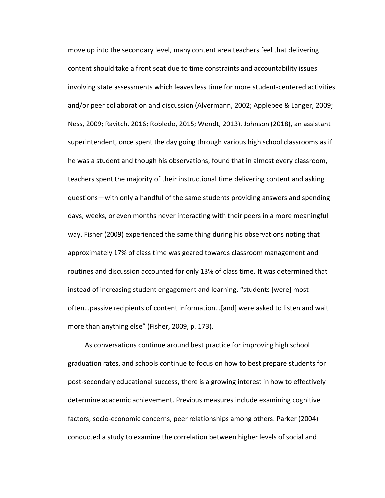move up into the secondary level, many content area teachers feel that delivering content should take a front seat due to time constraints and accountability issues involving state assessments which leaves less time for more student-centered activities and/or peer collaboration and discussion (Alvermann, 2002; Applebee & Langer, 2009; Ness, 2009; Ravitch, 2016; Robledo, 2015; Wendt, 2013). Johnson (2018), an assistant superintendent, once spent the day going through various high school classrooms as if he was a student and though his observations, found that in almost every classroom, teachers spent the majority of their instructional time delivering content and asking questions—with only a handful of the same students providing answers and spending days, weeks, or even months never interacting with their peers in a more meaningful way. Fisher (2009) experienced the same thing during his observations noting that approximately 17% of class time was geared towards classroom management and routines and discussion accounted for only 13% of class time. It was determined that instead of increasing student engagement and learning, "students [were] most often…passive recipients of content information…[and] were asked to listen and wait more than anything else" (Fisher, 2009, p. 173).

 As conversations continue around best practice for improving high school graduation rates, and schools continue to focus on how to best prepare students for post-secondary educational success, there is a growing interest in how to effectively determine academic achievement. Previous measures include examining cognitive factors, socio-economic concerns, peer relationships among others. Parker (2004) conducted a study to examine the correlation between higher levels of social and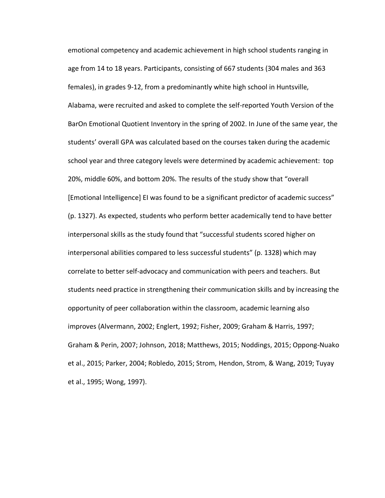emotional competency and academic achievement in high school students ranging in age from 14 to 18 years. Participants, consisting of 667 students (304 males and 363 females), in grades 9-12, from a predominantly white high school in Huntsville, Alabama, were recruited and asked to complete the self-reported Youth Version of the BarOn Emotional Quotient Inventory in the spring of 2002. In June of the same year, the students' overall GPA was calculated based on the courses taken during the academic school year and three category levels were determined by academic achievement: top 20%, middle 60%, and bottom 20%. The results of the study show that "overall [Emotional Intelligence] EI was found to be a significant predictor of academic success" (p. 1327). As expected, students who perform better academically tend to have better interpersonal skills as the study found that "successful students scored higher on interpersonal abilities compared to less successful students" (p. 1328) which may correlate to better self-advocacy and communication with peers and teachers. But students need practice in strengthening their communication skills and by increasing the opportunity of peer collaboration within the classroom, academic learning also improves (Alvermann, 2002; Englert, 1992; Fisher, 2009; Graham & Harris, 1997; Graham & Perin, 2007; Johnson, 2018; Matthews, 2015; Noddings, 2015; Oppong-Nuako et al., 2015; Parker, 2004; Robledo, 2015; Strom, Hendon, Strom, & Wang, 2019; Tuyay et al., 1995; Wong, 1997).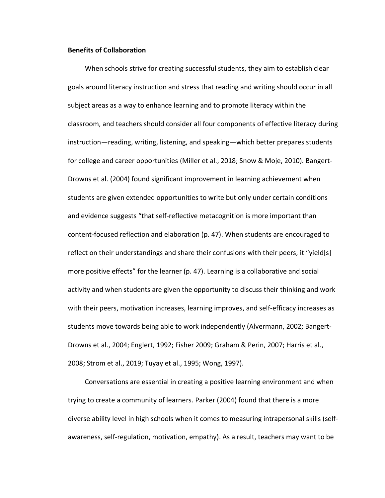# **Benefits of Collaboration**

When schools strive for creating successful students, they aim to establish clear goals around literacy instruction and stress that reading and writing should occur in all subject areas as a way to enhance learning and to promote literacy within the classroom, and teachers should consider all four components of effective literacy during instruction—reading, writing, listening, and speaking—which better prepares students for college and career opportunities (Miller et al., 2018; Snow & Moje, 2010). Bangert-Drowns et al. (2004) found significant improvement in learning achievement when students are given extended opportunities to write but only under certain conditions and evidence suggests "that self-reflective metacognition is more important than content-focused reflection and elaboration (p. 47). When students are encouraged to reflect on their understandings and share their confusions with their peers, it "yield[s] more positive effects" for the learner (p. 47). Learning is a collaborative and social activity and when students are given the opportunity to discuss their thinking and work with their peers, motivation increases, learning improves, and self-efficacy increases as students move towards being able to work independently (Alvermann, 2002; Bangert-Drowns et al., 2004; Englert, 1992; Fisher 2009; Graham & Perin, 2007; Harris et al., 2008; Strom et al., 2019; Tuyay et al., 1995; Wong, 1997).

 Conversations are essential in creating a positive learning environment and when trying to create a community of learners. Parker (2004) found that there is a more diverse ability level in high schools when it comes to measuring intrapersonal skills (selfawareness, self-regulation, motivation, empathy). As a result, teachers may want to be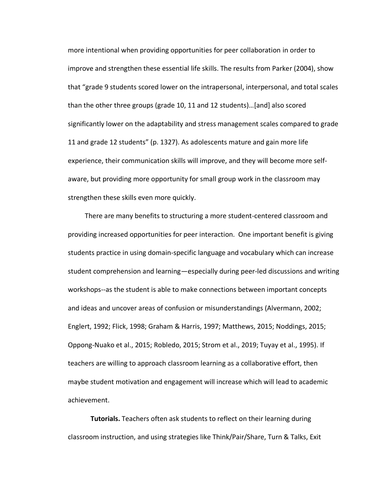more intentional when providing opportunities for peer collaboration in order to improve and strengthen these essential life skills. The results from Parker (2004), show that "grade 9 students scored lower on the intrapersonal, interpersonal, and total scales than the other three groups (grade 10, 11 and 12 students)…[and] also scored significantly lower on the adaptability and stress management scales compared to grade 11 and grade 12 students" (p. 1327). As adolescents mature and gain more life experience, their communication skills will improve, and they will become more selfaware, but providing more opportunity for small group work in the classroom may strengthen these skills even more quickly.

 There are many benefits to structuring a more student-centered classroom and providing increased opportunities for peer interaction. One important benefit is giving students practice in using domain-specific language and vocabulary which can increase student comprehension and learning—especially during peer-led discussions and writing workshops--as the student is able to make connections between important concepts and ideas and uncover areas of confusion or misunderstandings (Alvermann, 2002; Englert, 1992; Flick, 1998; Graham & Harris, 1997; Matthews, 2015; Noddings, 2015; Oppong-Nuako et al., 2015; Robledo, 2015; Strom et al., 2019; Tuyay et al., 1995). If teachers are willing to approach classroom learning as a collaborative effort, then maybe student motivation and engagement will increase which will lead to academic achievement.

**Tutorials.** Teachers often ask students to reflect on their learning during classroom instruction, and using strategies like Think/Pair/Share, Turn & Talks, Exit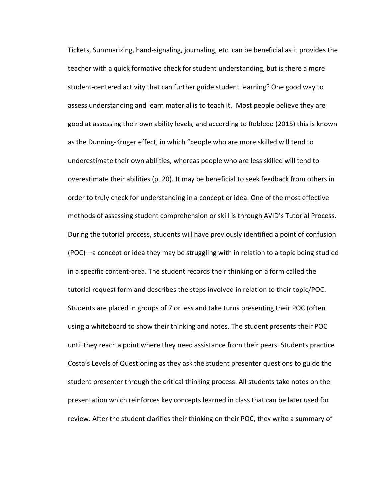Tickets, Summarizing, hand-signaling, journaling, etc. can be beneficial as it provides the teacher with a quick formative check for student understanding, but is there a more student-centered activity that can further guide student learning? One good way to assess understanding and learn material is to teach it. Most people believe they are good at assessing their own ability levels, and according to Robledo (2015) this is known as the Dunning-Kruger effect, in which "people who are more skilled will tend to underestimate their own abilities, whereas people who are less skilled will tend to overestimate their abilities (p. 20). It may be beneficial to seek feedback from others in order to truly check for understanding in a concept or idea. One of the most effective methods of assessing student comprehension or skill is through AVID's Tutorial Process. During the tutorial process, students will have previously identified a point of confusion (POC)—a concept or idea they may be struggling with in relation to a topic being studied in a specific content-area. The student records their thinking on a form called the tutorial request form and describes the steps involved in relation to their topic/POC. Students are placed in groups of 7 or less and take turns presenting their POC (often using a whiteboard to show their thinking and notes. The student presents their POC until they reach a point where they need assistance from their peers. Students practice Costa's Levels of Questioning as they ask the student presenter questions to guide the student presenter through the critical thinking process. All students take notes on the presentation which reinforces key concepts learned in class that can be later used for review. After the student clarifies their thinking on their POC, they write a summary of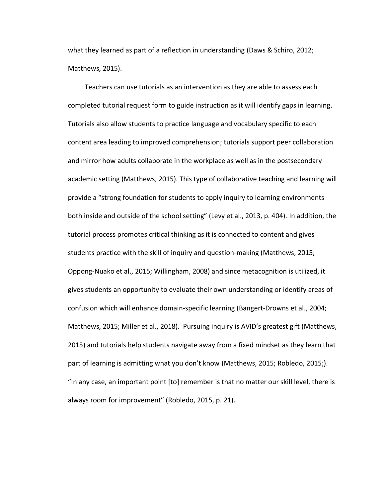what they learned as part of a reflection in understanding (Daws & Schiro, 2012; Matthews, 2015).

 Teachers can use tutorials as an intervention as they are able to assess each completed tutorial request form to guide instruction as it will identify gaps in learning. Tutorials also allow students to practice language and vocabulary specific to each content area leading to improved comprehension; tutorials support peer collaboration and mirror how adults collaborate in the workplace as well as in the postsecondary academic setting (Matthews, 2015). This type of collaborative teaching and learning will provide a "strong foundation for students to apply inquiry to learning environments both inside and outside of the school setting" (Levy et al., 2013, p. 404). In addition, the tutorial process promotes critical thinking as it is connected to content and gives students practice with the skill of inquiry and question-making (Matthews, 2015; Oppong-Nuako et al., 2015; Willingham, 2008) and since metacognition is utilized, it gives students an opportunity to evaluate their own understanding or identify areas of confusion which will enhance domain-specific learning (Bangert-Drowns et al., 2004; Matthews, 2015; Miller et al., 2018). Pursuing inquiry is AVID's greatest gift (Matthews, 2015) and tutorials help students navigate away from a fixed mindset as they learn that part of learning is admitting what you don't know (Matthews, 2015; Robledo, 2015;). "In any case, an important point [to] remember is that no matter our skill level, there is always room for improvement" (Robledo, 2015, p. 21).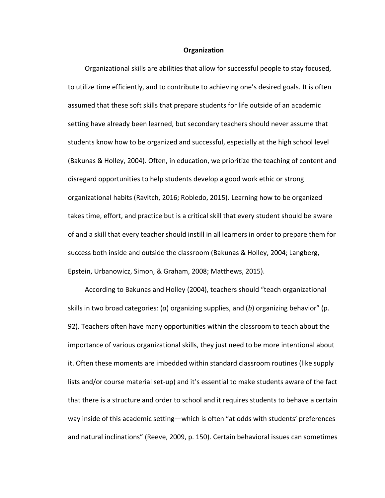### **Organization**

Organizational skills are abilities that allow for successful people to stay focused, to utilize time efficiently, and to contribute to achieving one's desired goals. It is often assumed that these soft skills that prepare students for life outside of an academic setting have already been learned, but secondary teachers should never assume that students know how to be organized and successful, especially at the high school level (Bakunas & Holley, 2004). Often, in education, we prioritize the teaching of content and disregard opportunities to help students develop a good work ethic or strong organizational habits (Ravitch, 2016; Robledo, 2015). Learning how to be organized takes time, effort, and practice but is a critical skill that every student should be aware of and a skill that every teacher should instill in all learners in order to prepare them for success both inside and outside the classroom (Bakunas & Holley, 2004; Langberg, Epstein, Urbanowicz, Simon, & Graham, 2008; Matthews, 2015).

 According to Bakunas and Holley (2004), teachers should "teach organizational skills in two broad categories: (*a*) organizing supplies, and (*b*) organizing behavior" (p. 92). Teachers often have many opportunities within the classroom to teach about the importance of various organizational skills, they just need to be more intentional about it. Often these moments are imbedded within standard classroom routines (like supply lists and/or course material set-up) and it's essential to make students aware of the fact that there is a structure and order to school and it requires students to behave a certain way inside of this academic setting—which is often "at odds with students' preferences and natural inclinations" (Reeve, 2009, p. 150). Certain behavioral issues can sometimes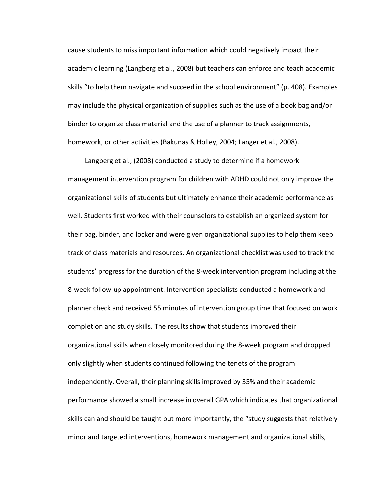cause students to miss important information which could negatively impact their academic learning (Langberg et al., 2008) but teachers can enforce and teach academic skills "to help them navigate and succeed in the school environment" (p. 408). Examples may include the physical organization of supplies such as the use of a book bag and/or binder to organize class material and the use of a planner to track assignments, homework, or other activities (Bakunas & Holley, 2004; Langer et al., 2008).

 Langberg et al., (2008) conducted a study to determine if a homework management intervention program for children with ADHD could not only improve the organizational skills of students but ultimately enhance their academic performance as well. Students first worked with their counselors to establish an organized system for their bag, binder, and locker and were given organizational supplies to help them keep track of class materials and resources. An organizational checklist was used to track the students' progress for the duration of the 8-week intervention program including at the 8-week follow-up appointment. Intervention specialists conducted a homework and planner check and received 55 minutes of intervention group time that focused on work completion and study skills. The results show that students improved their organizational skills when closely monitored during the 8-week program and dropped only slightly when students continued following the tenets of the program independently. Overall, their planning skills improved by 35% and their academic performance showed a small increase in overall GPA which indicates that organizational skills can and should be taught but more importantly, the "study suggests that relatively minor and targeted interventions, homework management and organizational skills,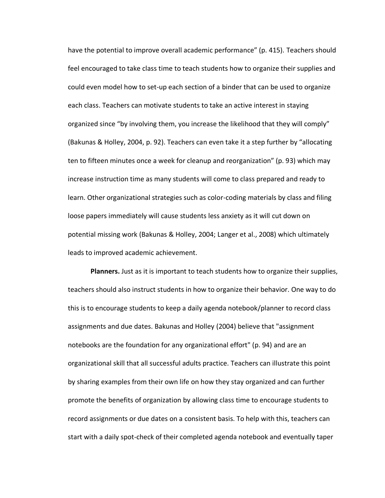have the potential to improve overall academic performance" (p. 415). Teachers should feel encouraged to take class time to teach students how to organize their supplies and could even model how to set-up each section of a binder that can be used to organize each class. Teachers can motivate students to take an active interest in staying organized since "by involving them, you increase the likelihood that they will comply" (Bakunas & Holley, 2004, p. 92). Teachers can even take it a step further by "allocating ten to fifteen minutes once a week for cleanup and reorganization" (p. 93) which may increase instruction time as many students will come to class prepared and ready to learn. Other organizational strategies such as color-coding materials by class and filing loose papers immediately will cause students less anxiety as it will cut down on potential missing work (Bakunas & Holley, 2004; Langer et al., 2008) which ultimately leads to improved academic achievement.

**Planners.** Just as it is important to teach students how to organize their supplies, teachers should also instruct students in how to organize their behavior. One way to do this is to encourage students to keep a daily agenda notebook/planner to record class assignments and due dates. Bakunas and Holley (2004) believe that "assignment notebooks are the foundation for any organizational effort" (p. 94) and are an organizational skill that all successful adults practice. Teachers can illustrate this point by sharing examples from their own life on how they stay organized and can further promote the benefits of organization by allowing class time to encourage students to record assignments or due dates on a consistent basis. To help with this, teachers can start with a daily spot-check of their completed agenda notebook and eventually taper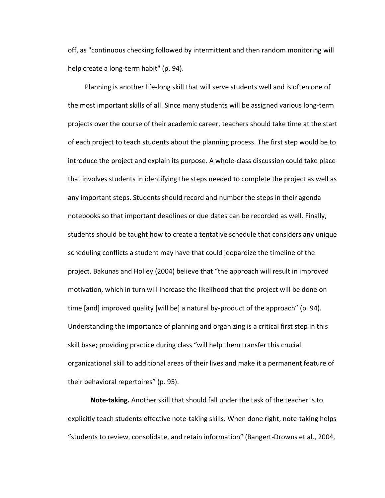off, as "continuous checking followed by intermittent and then random monitoring will help create a long-term habit" (p. 94).

 Planning is another life-long skill that will serve students well and is often one of the most important skills of all. Since many students will be assigned various long-term projects over the course of their academic career, teachers should take time at the start of each project to teach students about the planning process. The first step would be to introduce the project and explain its purpose. A whole-class discussion could take place that involves students in identifying the steps needed to complete the project as well as any important steps. Students should record and number the steps in their agenda notebooks so that important deadlines or due dates can be recorded as well. Finally, students should be taught how to create a tentative schedule that considers any unique scheduling conflicts a student may have that could jeopardize the timeline of the project. Bakunas and Holley (2004) believe that "the approach will result in improved motivation, which in turn will increase the likelihood that the project will be done on time [and] improved quality [will be] a natural by-product of the approach" (p. 94). Understanding the importance of planning and organizing is a critical first step in this skill base; providing practice during class "will help them transfer this crucial organizational skill to additional areas of their lives and make it a permanent feature of their behavioral repertoires" (p. 95).

**Note-taking.** Another skill that should fall under the task of the teacher is to explicitly teach students effective note-taking skills. When done right, note-taking helps "students to review, consolidate, and retain information" (Bangert-Drowns et al., 2004,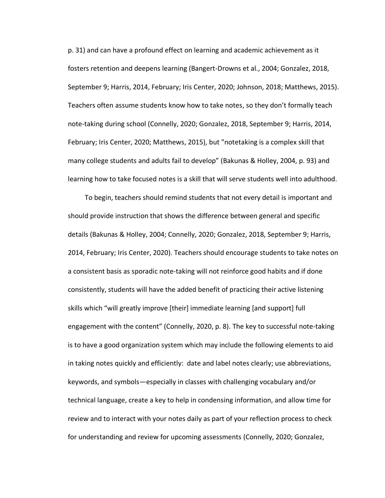p. 31) and can have a profound effect on learning and academic achievement as it fosters retention and deepens learning (Bangert-Drowns et al., 2004; Gonzalez, 2018, September 9; Harris, 2014, February; Iris Center, 2020; Johnson, 2018; Matthews, 2015). Teachers often assume students know how to take notes, so they don't formally teach note-taking during school (Connelly, 2020; Gonzalez, 2018, September 9; Harris, 2014, February; Iris Center, 2020; Matthews, 2015), but "notetaking is a complex skill that many college students and adults fail to develop" (Bakunas & Holley, 2004, p. 93) and learning how to take focused notes is a skill that will serve students well into adulthood.

 To begin, teachers should remind students that not every detail is important and should provide instruction that shows the difference between general and specific details (Bakunas & Holley, 2004; Connelly, 2020; Gonzalez, 2018, September 9; Harris, 2014, February; Iris Center, 2020). Teachers should encourage students to take notes on a consistent basis as sporadic note-taking will not reinforce good habits and if done consistently, students will have the added benefit of practicing their active listening skills which "will greatly improve [their] immediate learning [and support] full engagement with the content" (Connelly, 2020, p. 8). The key to successful note-taking is to have a good organization system which may include the following elements to aid in taking notes quickly and efficiently: date and label notes clearly; use abbreviations, keywords, and symbols—especially in classes with challenging vocabulary and/or technical language, create a key to help in condensing information, and allow time for review and to interact with your notes daily as part of your reflection process to check for understanding and review for upcoming assessments (Connelly, 2020; Gonzalez,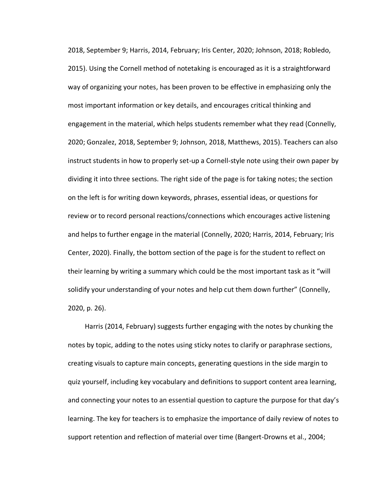2018, September 9; Harris, 2014, February; Iris Center, 2020; Johnson, 2018; Robledo, 2015). Using the Cornell method of notetaking is encouraged as it is a straightforward way of organizing your notes, has been proven to be effective in emphasizing only the most important information or key details, and encourages critical thinking and engagement in the material, which helps students remember what they read (Connelly, 2020; Gonzalez, 2018, September 9; Johnson, 2018, Matthews, 2015). Teachers can also instruct students in how to properly set-up a Cornell-style note using their own paper by dividing it into three sections. The right side of the page is for taking notes; the section on the left is for writing down keywords, phrases, essential ideas, or questions for review or to record personal reactions/connections which encourages active listening and helps to further engage in the material (Connelly, 2020; Harris, 2014, February; Iris Center, 2020). Finally, the bottom section of the page is for the student to reflect on their learning by writing a summary which could be the most important task as it "will solidify your understanding of your notes and help cut them down further" (Connelly, 2020, p. 26).

 Harris (2014, February) suggests further engaging with the notes by chunking the notes by topic, adding to the notes using sticky notes to clarify or paraphrase sections, creating visuals to capture main concepts, generating questions in the side margin to quiz yourself, including key vocabulary and definitions to support content area learning, and connecting your notes to an essential question to capture the purpose for that day's learning. The key for teachers is to emphasize the importance of daily review of notes to support retention and reflection of material over time (Bangert-Drowns et al., 2004;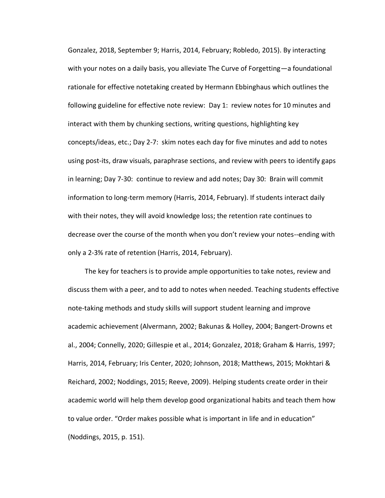Gonzalez, 2018, September 9; Harris, 2014, February; Robledo, 2015). By interacting with your notes on a daily basis, you alleviate The Curve of Forgetting—a foundational rationale for effective notetaking created by Hermann Ebbinghaus which outlines the following guideline for effective note review: Day 1: review notes for 10 minutes and interact with them by chunking sections, writing questions, highlighting key concepts/ideas, etc.; Day 2-7: skim notes each day for five minutes and add to notes using post-its, draw visuals, paraphrase sections, and review with peers to identify gaps in learning; Day 7-30: continue to review and add notes; Day 30: Brain will commit information to long-term memory (Harris, 2014, February). If students interact daily with their notes, they will avoid knowledge loss; the retention rate continues to decrease over the course of the month when you don't review your notes--ending with only a 2-3% rate of retention (Harris, 2014, February).

 The key for teachers is to provide ample opportunities to take notes, review and discuss them with a peer, and to add to notes when needed. Teaching students effective note-taking methods and study skills will support student learning and improve academic achievement (Alvermann, 2002; Bakunas & Holley, 2004; Bangert-Drowns et al., 2004; Connelly, 2020; Gillespie et al., 2014; Gonzalez, 2018; Graham & Harris, 1997; Harris, 2014, February; Iris Center, 2020; Johnson, 2018; Matthews, 2015; Mokhtari & Reichard, 2002; Noddings, 2015; Reeve, 2009). Helping students create order in their academic world will help them develop good organizational habits and teach them how to value order. "Order makes possible what is important in life and in education" (Noddings, 2015, p. 151).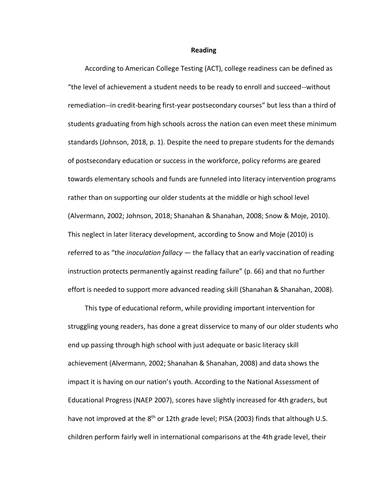#### **Reading**

According to American College Testing (ACT), college readiness can be defined as "the level of achievement a student needs to be ready to enroll and succeed--without remediation--in credit-bearing first-year postsecondary courses" but less than a third of students graduating from high schools across the nation can even meet these minimum standards (Johnson, 2018, p. 1). Despite the need to prepare students for the demands of postsecondary education or success in the workforce, policy reforms are geared towards elementary schools and funds are funneled into literacy intervention programs rather than on supporting our older students at the middle or high school level (Alvermann, 2002; Johnson, 2018; Shanahan & Shanahan, 2008; Snow & Moje, 2010). This neglect in later literacy development, according to Snow and Moje (2010) is referred to as "the *inoculation fallacy* — the fallacy that an early vaccination of reading instruction protects permanently against reading failure" (p. 66) and that no further effort is needed to support more advanced reading skill (Shanahan & Shanahan, 2008).

 This type of educational reform, while providing important intervention for struggling young readers, has done a great disservice to many of our older students who end up passing through high school with just adequate or basic literacy skill achievement (Alvermann, 2002; Shanahan & Shanahan, 2008) and data shows the impact it is having on our nation's youth. According to the National Assessment of Educational Progress (NAEP 2007), scores have slightly increased for 4th graders, but have not improved at the 8<sup>th</sup> or 12th grade level; PISA (2003) finds that although U.S. children perform fairly well in international comparisons at the 4th grade level, their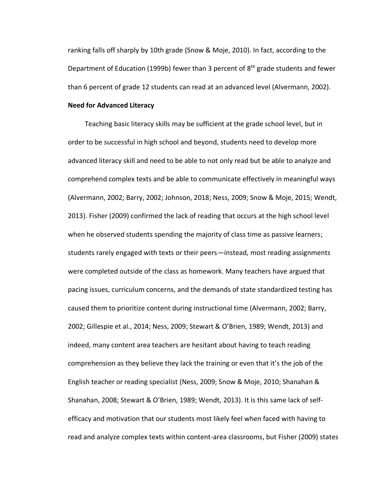ranking falls off sharply by 10th grade (Snow & Moje, 2010). In fact, according to the Department of Education (1999b) fewer than 3 percent of 8<sup>th</sup> grade students and fewer than 6 percent of grade 12 students can read at an advanced level (Alvermann, 2002).

## **Need for Advanced Literacy**

 Teaching basic literacy skills may be sufficient at the grade school level, but in order to be successful in high school and beyond, students need to develop more advanced literacy skill and need to be able to not only read but be able to analyze and comprehend complex texts and be able to communicate effectively in meaningful ways (Alvermann, 2002; Barry, 2002; Johnson, 2018; Ness, 2009; Snow & Moje, 2015; Wendt, 2013). Fisher (2009) confirmed the lack of reading that occurs at the high school level when he observed students spending the majority of class time as passive learners; students rarely engaged with texts or their peers—instead, most reading assignments were completed outside of the class as homework. Many teachers have argued that pacing issues, curriculum concerns, and the demands of state standardized testing has caused them to prioritize content during instructional time (Alvermann, 2002; Barry, 2002; Gillespie et al., 2014; Ness, 2009; Stewart & O'Brien, 1989; Wendt, 2013) and indeed, many content area teachers are hesitant about having to teach reading comprehension as they believe they lack the training or even that it's the job of the English teacher or reading specialist (Ness, 2009; Snow & Moje, 2010; Shanahan & Shanahan, 2008; Stewart & O'Brien, 1989; Wendt, 2013). It is this same lack of selfefficacy and motivation that our students most likely feel when faced with having to read and analyze complex texts within content-area classrooms, but Fisher (2009) states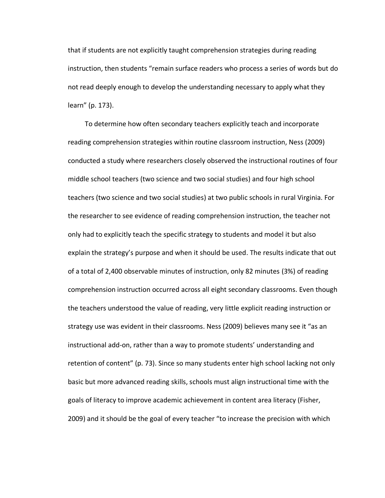that if students are not explicitly taught comprehension strategies during reading instruction, then students "remain surface readers who process a series of words but do not read deeply enough to develop the understanding necessary to apply what they learn" (p. 173).

 To determine how often secondary teachers explicitly teach and incorporate reading comprehension strategies within routine classroom instruction, Ness (2009) conducted a study where researchers closely observed the instructional routines of four middle school teachers (two science and two social studies) and four high school teachers (two science and two social studies) at two public schools in rural Virginia. For the researcher to see evidence of reading comprehension instruction, the teacher not only had to explicitly teach the specific strategy to students and model it but also explain the strategy's purpose and when it should be used. The results indicate that out of a total of 2,400 observable minutes of instruction, only 82 minutes (3%) of reading comprehension instruction occurred across all eight secondary classrooms. Even though the teachers understood the value of reading, very little explicit reading instruction or strategy use was evident in their classrooms. Ness (2009) believes many see it "as an instructional add-on, rather than a way to promote students' understanding and retention of content" (p. 73). Since so many students enter high school lacking not only basic but more advanced reading skills, schools must align instructional time with the goals of literacy to improve academic achievement in content area literacy (Fisher, 2009) and it should be the goal of every teacher "to increase the precision with which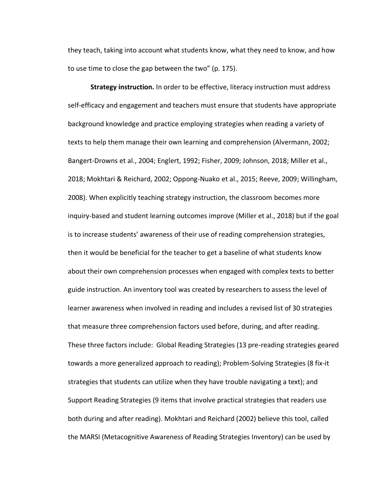they teach, taking into account what students know, what they need to know, and how to use time to close the gap between the two" (p. 175).

**Strategy instruction.** In order to be effective, literacy instruction must address self-efficacy and engagement and teachers must ensure that students have appropriate background knowledge and practice employing strategies when reading a variety of texts to help them manage their own learning and comprehension (Alvermann, 2002; Bangert-Drowns et al., 2004; Englert, 1992; Fisher, 2009; Johnson, 2018; Miller et al., 2018; Mokhtari & Reichard, 2002; Oppong-Nuako et al., 2015; Reeve, 2009; Willingham, 2008). When explicitly teaching strategy instruction, the classroom becomes more inquiry-based and student learning outcomes improve (Miller et al., 2018) but if the goal is to increase students' awareness of their use of reading comprehension strategies, then it would be beneficial for the teacher to get a baseline of what students know about their own comprehension processes when engaged with complex texts to better guide instruction. An inventory tool was created by researchers to assess the level of learner awareness when involved in reading and includes a revised list of 30 strategies that measure three comprehension factors used before, during, and after reading. These three factors include: Global Reading Strategies (13 pre-reading strategies geared towards a more generalized approach to reading); Problem-Solving Strategies (8 fix-it strategies that students can utilize when they have trouble navigating a text); and Support Reading Strategies (9 items that involve practical strategies that readers use both during and after reading). Mokhtari and Reichard (2002) believe this tool, called the MARSI (Metacognitive Awareness of Reading Strategies Inventory) can be used by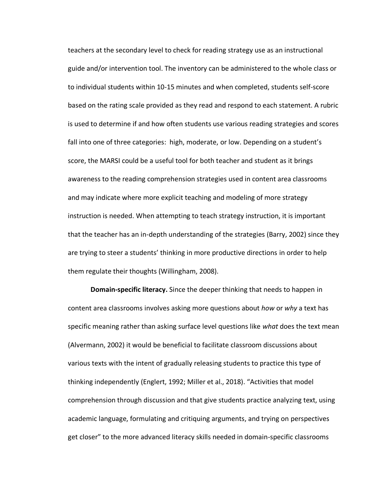teachers at the secondary level to check for reading strategy use as an instructional guide and/or intervention tool. The inventory can be administered to the whole class or to individual students within 10-15 minutes and when completed, students self-score based on the rating scale provided as they read and respond to each statement. A rubric is used to determine if and how often students use various reading strategies and scores fall into one of three categories: high, moderate, or low. Depending on a student's score, the MARSI could be a useful tool for both teacher and student as it brings awareness to the reading comprehension strategies used in content area classrooms and may indicate where more explicit teaching and modeling of more strategy instruction is needed. When attempting to teach strategy instruction, it is important that the teacher has an in-depth understanding of the strategies (Barry, 2002) since they are trying to steer a students' thinking in more productive directions in order to help them regulate their thoughts (Willingham, 2008).

**Domain-specific literacy.** Since the deeper thinking that needs to happen in content area classrooms involves asking more questions about *how* or *why* a text has specific meaning rather than asking surface level questions like *what* does the text mean (Alvermann, 2002) it would be beneficial to facilitate classroom discussions about various texts with the intent of gradually releasing students to practice this type of thinking independently (Englert, 1992; Miller et al., 2018). "Activities that model comprehension through discussion and that give students practice analyzing text, using academic language, formulating and critiquing arguments, and trying on perspectives get closer" to the more advanced literacy skills needed in domain-specific classrooms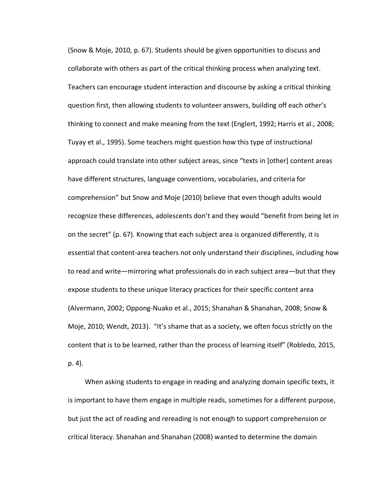(Snow & Moje, 2010, p. 67). Students should be given opportunities to discuss and collaborate with others as part of the critical thinking process when analyzing text. Teachers can encourage student interaction and discourse by asking a critical thinking question first, then allowing students to volunteer answers, building off each other's thinking to connect and make meaning from the text (Englert, 1992; Harris et al., 2008; Tuyay et al., 1995). Some teachers might question how this type of instructional approach could translate into other subject areas, since "texts in [other] content areas have different structures, language conventions, vocabularies, and criteria for comprehension" but Snow and Moje (2010) believe that even though adults would recognize these differences, adolescents don't and they would "benefit from being let in on the secret" (p. 67). Knowing that each subject area is organized differently, it is essential that content-area teachers not only understand their disciplines, including how to read and write—mirroring what professionals do in each subject area—but that they expose students to these unique literacy practices for their specific content area (Alvermann, 2002; Oppong-Nuako et al., 2015; Shanahan & Shanahan, 2008; Snow & Moje, 2010; Wendt, 2013). "It's shame that as a society, we often focus strictly on the content that is to be learned, rather than the process of learning itself" (Robledo, 2015, p. 4).

 When asking students to engage in reading and analyzing domain specific texts, it is important to have them engage in multiple reads, sometimes for a different purpose, but just the act of reading and rereading is not enough to support comprehension or critical literacy. Shanahan and Shanahan (2008) wanted to determine the domain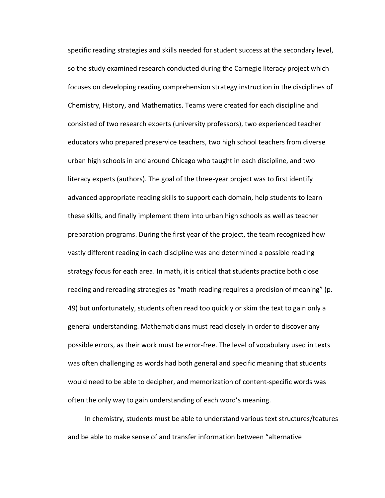specific reading strategies and skills needed for student success at the secondary level, so the study examined research conducted during the Carnegie literacy project which focuses on developing reading comprehension strategy instruction in the disciplines of Chemistry, History, and Mathematics. Teams were created for each discipline and consisted of two research experts (university professors), two experienced teacher educators who prepared preservice teachers, two high school teachers from diverse urban high schools in and around Chicago who taught in each discipline, and two literacy experts (authors). The goal of the three-year project was to first identify advanced appropriate reading skills to support each domain, help students to learn these skills, and finally implement them into urban high schools as well as teacher preparation programs. During the first year of the project, the team recognized how vastly different reading in each discipline was and determined a possible reading strategy focus for each area. In math, it is critical that students practice both close reading and rereading strategies as "math reading requires a precision of meaning" (p. 49) but unfortunately, students often read too quickly or skim the text to gain only a general understanding. Mathematicians must read closely in order to discover any possible errors, as their work must be error-free. The level of vocabulary used in texts was often challenging as words had both general and specific meaning that students would need to be able to decipher, and memorization of content-specific words was often the only way to gain understanding of each word's meaning.

 In chemistry, students must be able to understand various text structures/features and be able to make sense of and transfer information between "alternative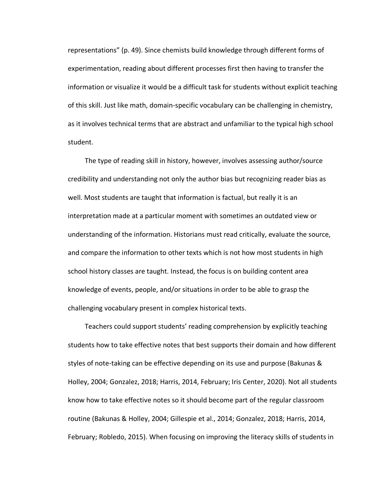representations" (p. 49). Since chemists build knowledge through different forms of experimentation, reading about different processes first then having to transfer the information or visualize it would be a difficult task for students without explicit teaching of this skill. Just like math, domain-specific vocabulary can be challenging in chemistry, as it involves technical terms that are abstract and unfamiliar to the typical high school student.

 The type of reading skill in history, however, involves assessing author/source credibility and understanding not only the author bias but recognizing reader bias as well. Most students are taught that information is factual, but really it is an interpretation made at a particular moment with sometimes an outdated view or understanding of the information. Historians must read critically, evaluate the source, and compare the information to other texts which is not how most students in high school history classes are taught. Instead, the focus is on building content area knowledge of events, people, and/or situations in order to be able to grasp the challenging vocabulary present in complex historical texts.

 Teachers could support students' reading comprehension by explicitly teaching students how to take effective notes that best supports their domain and how different styles of note-taking can be effective depending on its use and purpose (Bakunas & Holley, 2004; Gonzalez, 2018; Harris, 2014, February; Iris Center, 2020). Not all students know how to take effective notes so it should become part of the regular classroom routine (Bakunas & Holley, 2004; Gillespie et al., 2014; Gonzalez, 2018; Harris, 2014, February; Robledo, 2015). When focusing on improving the literacy skills of students in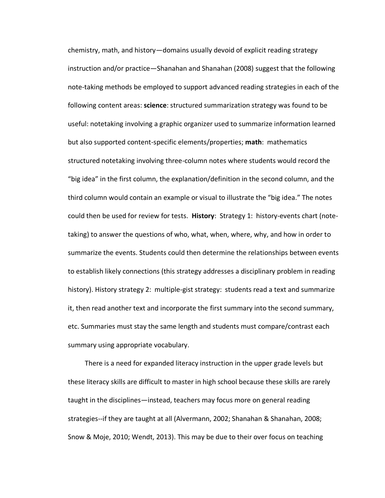chemistry, math, and history—domains usually devoid of explicit reading strategy instruction and/or practice—Shanahan and Shanahan (2008) suggest that the following note-taking methods be employed to support advanced reading strategies in each of the following content areas: **science**: structured summarization strategy was found to be useful: notetaking involving a graphic organizer used to summarize information learned but also supported content-specific elements/properties; **math**: mathematics structured notetaking involving three-column notes where students would record the "big idea" in the first column, the explanation/definition in the second column, and the third column would contain an example or visual to illustrate the "big idea." The notes could then be used for review for tests. **History**: Strategy 1: history-events chart (notetaking) to answer the questions of who, what, when, where, why, and how in order to summarize the events. Students could then determine the relationships between events to establish likely connections (this strategy addresses a disciplinary problem in reading history). History strategy 2: multiple-gist strategy: students read a text and summarize it, then read another text and incorporate the first summary into the second summary, etc. Summaries must stay the same length and students must compare/contrast each summary using appropriate vocabulary.

 There is a need for expanded literacy instruction in the upper grade levels but these literacy skills are difficult to master in high school because these skills are rarely taught in the disciplines—instead, teachers may focus more on general reading strategies--if they are taught at all (Alvermann, 2002; Shanahan & Shanahan, 2008; Snow & Moje, 2010; Wendt, 2013). This may be due to their over focus on teaching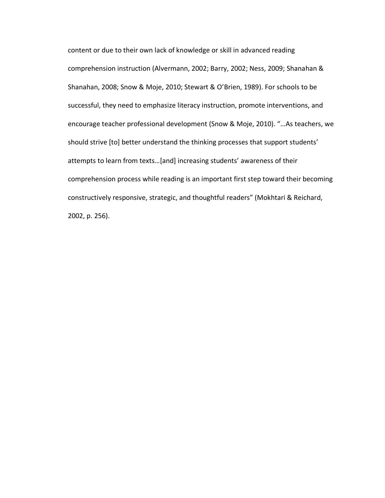content or due to their own lack of knowledge or skill in advanced reading comprehension instruction (Alvermann, 2002; Barry, 2002; Ness, 2009; Shanahan & Shanahan, 2008; Snow & Moje, 2010; Stewart & O'Brien, 1989). For schools to be successful, they need to emphasize literacy instruction, promote interventions, and encourage teacher professional development (Snow & Moje, 2010). "…As teachers, we should strive [to] better understand the thinking processes that support students' attempts to learn from texts…[and] increasing students' awareness of their comprehension process while reading is an important first step toward their becoming constructively responsive, strategic, and thoughtful readers" (Mokhtari & Reichard, 2002, p. 256).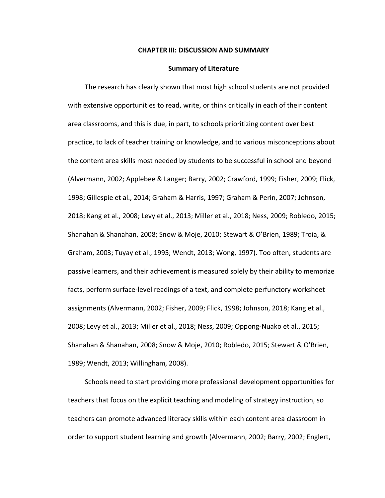### **CHAPTER III: DISCUSSION AND SUMMARY**

#### **Summary of Literature**

 The research has clearly shown that most high school students are not provided with extensive opportunities to read, write, or think critically in each of their content area classrooms, and this is due, in part, to schools prioritizing content over best practice, to lack of teacher training or knowledge, and to various misconceptions about the content area skills most needed by students to be successful in school and beyond (Alvermann, 2002; Applebee & Langer; Barry, 2002; Crawford, 1999; Fisher, 2009; Flick, 1998; Gillespie et al., 2014; Graham & Harris, 1997; Graham & Perin, 2007; Johnson, 2018; Kang et al., 2008; Levy et al., 2013; Miller et al., 2018; Ness, 2009; Robledo, 2015; Shanahan & Shanahan, 2008; Snow & Moje, 2010; Stewart & O'Brien, 1989; Troia, & Graham, 2003; Tuyay et al., 1995; Wendt, 2013; Wong, 1997). Too often, students are passive learners, and their achievement is measured solely by their ability to memorize facts, perform surface-level readings of a text, and complete perfunctory worksheet assignments (Alvermann, 2002; Fisher, 2009; Flick, 1998; Johnson, 2018; Kang et al., 2008; Levy et al., 2013; Miller et al., 2018; Ness, 2009; Oppong-Nuako et al., 2015; Shanahan & Shanahan, 2008; Snow & Moje, 2010; Robledo, 2015; Stewart & O'Brien, 1989; Wendt, 2013; Willingham, 2008).

 Schools need to start providing more professional development opportunities for teachers that focus on the explicit teaching and modeling of strategy instruction, so teachers can promote advanced literacy skills within each content area classroom in order to support student learning and growth (Alvermann, 2002; Barry, 2002; Englert,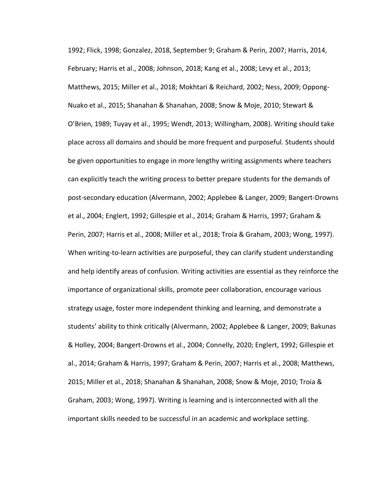1992; Flick, 1998; Gonzalez, 2018, September 9; Graham & Perin, 2007; Harris, 2014, February; Harris et al., 2008; Johnson, 2018; Kang et al., 2008; Levy et al., 2013; Matthews, 2015; Miller et al., 2018; Mokhtari & Reichard, 2002; Ness, 2009; Oppong-Nuako et al., 2015; Shanahan & Shanahan, 2008; Snow & Moje, 2010; Stewart & O'Brien, 1989; Tuyay et al., 1995; Wendt, 2013; Willingham, 2008). Writing should take place across all domains and should be more frequent and purposeful. Students should be given opportunities to engage in more lengthy writing assignments where teachers can explicitly teach the writing process to better prepare students for the demands of post-secondary education (Alvermann, 2002; Applebee & Langer, 2009; Bangert-Drowns et al., 2004; Englert, 1992; Gillespie et al., 2014; Graham & Harris, 1997; Graham & Perin, 2007; Harris et al., 2008; Miller et al., 2018; Troia & Graham, 2003; Wong, 1997). When writing-to-learn activities are purposeful, they can clarify student understanding and help identify areas of confusion. Writing activities are essential as they reinforce the importance of organizational skills, promote peer collaboration, encourage various strategy usage, foster more independent thinking and learning, and demonstrate a students' ability to think critically (Alvermann, 2002; Applebee & Langer, 2009; Bakunas & Holley, 2004; Bangert-Drowns et al., 2004; Connelly, 2020; Englert, 1992; Gillespie et al., 2014; Graham & Harris, 1997; Graham & Perin, 2007; Harris et al., 2008; Matthews, 2015; Miller et al., 2018; Shanahan & Shanahan, 2008; Snow & Moje, 2010; Troia & Graham, 2003; Wong, 1997). Writing is learning and is interconnected with all the important skills needed to be successful in an academic and workplace setting.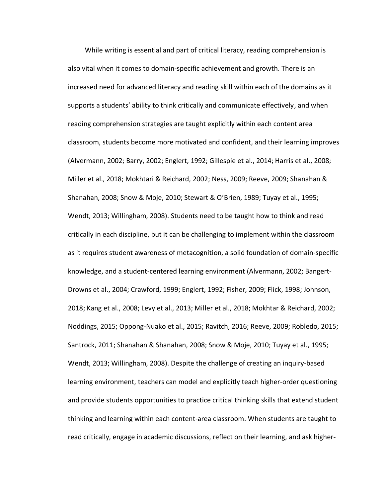While writing is essential and part of critical literacy, reading comprehension is also vital when it comes to domain-specific achievement and growth. There is an increased need for advanced literacy and reading skill within each of the domains as it supports a students' ability to think critically and communicate effectively, and when reading comprehension strategies are taught explicitly within each content area classroom, students become more motivated and confident, and their learning improves (Alvermann, 2002; Barry, 2002; Englert, 1992; Gillespie et al., 2014; Harris et al., 2008; Miller et al., 2018; Mokhtari & Reichard, 2002; Ness, 2009; Reeve, 2009; Shanahan & Shanahan, 2008; Snow & Moje, 2010; Stewart & O'Brien, 1989; Tuyay et al., 1995; Wendt, 2013; Willingham, 2008). Students need to be taught how to think and read critically in each discipline, but it can be challenging to implement within the classroom as it requires student awareness of metacognition, a solid foundation of domain-specific knowledge, and a student-centered learning environment (Alvermann, 2002; Bangert-Drowns et al., 2004; Crawford, 1999; Englert, 1992; Fisher, 2009; Flick, 1998; Johnson, 2018; Kang et al., 2008; Levy et al., 2013; Miller et al., 2018; Mokhtar & Reichard, 2002; Noddings, 2015; Oppong-Nuako et al., 2015; Ravitch, 2016; Reeve, 2009; Robledo, 2015; Santrock, 2011; Shanahan & Shanahan, 2008; Snow & Moje, 2010; Tuyay et al., 1995; Wendt, 2013; Willingham, 2008). Despite the challenge of creating an inquiry-based learning environment, teachers can model and explicitly teach higher-order questioning and provide students opportunities to practice critical thinking skills that extend student thinking and learning within each content-area classroom. When students are taught to read critically, engage in academic discussions, reflect on their learning, and ask higher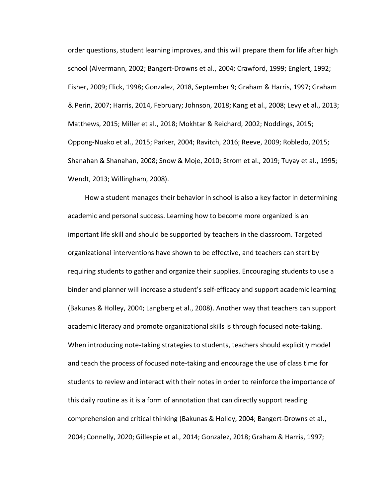order questions, student learning improves, and this will prepare them for life after high school (Alvermann, 2002; Bangert-Drowns et al., 2004; Crawford, 1999; Englert, 1992; Fisher, 2009; Flick, 1998; Gonzalez, 2018, September 9; Graham & Harris, 1997; Graham & Perin, 2007; Harris, 2014, February; Johnson, 2018; Kang et al., 2008; Levy et al., 2013; Matthews, 2015; Miller et al., 2018; Mokhtar & Reichard, 2002; Noddings, 2015; Oppong-Nuako et al., 2015; Parker, 2004; Ravitch, 2016; Reeve, 2009; Robledo, 2015; Shanahan & Shanahan, 2008; Snow & Moje, 2010; Strom et al., 2019; Tuyay et al., 1995; Wendt, 2013; Willingham, 2008).

 How a student manages their behavior in school is also a key factor in determining academic and personal success. Learning how to become more organized is an important life skill and should be supported by teachers in the classroom. Targeted organizational interventions have shown to be effective, and teachers can start by requiring students to gather and organize their supplies. Encouraging students to use a binder and planner will increase a student's self-efficacy and support academic learning (Bakunas & Holley, 2004; Langberg et al., 2008). Another way that teachers can support academic literacy and promote organizational skills is through focused note-taking. When introducing note-taking strategies to students, teachers should explicitly model and teach the process of focused note-taking and encourage the use of class time for students to review and interact with their notes in order to reinforce the importance of this daily routine as it is a form of annotation that can directly support reading comprehension and critical thinking (Bakunas & Holley, 2004; Bangert-Drowns et al., 2004; Connelly, 2020; Gillespie et al., 2014; Gonzalez, 2018; Graham & Harris, 1997;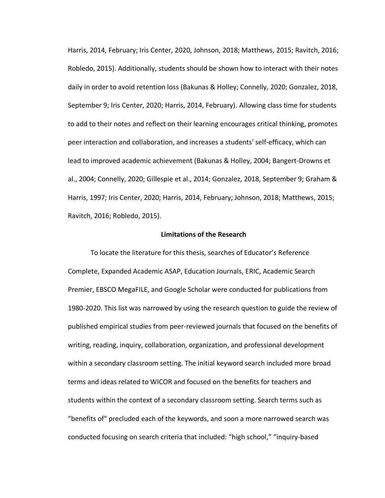Harris, 2014, February; Iris Center, 2020, Johnson, 2018; Matthews, 2015; Ravitch, 2016; Robledo, 2015). Additionally, students should be shown how to interact with their notes daily in order to avoid retention loss (Bakunas & Holley; Connelly, 2020; Gonzalez, 2018, September 9; Iris Center, 2020; Harris, 2014, February). Allowing class time for students to add to their notes and reflect on their learning encourages critical thinking, promotes peer interaction and collaboration, and increases a students' self-efficacy, which can lead to improved academic achievement (Bakunas & Holley, 2004; Bangert-Drowns et al., 2004; Connelly, 2020; Gillespie et al., 2014; Gonzalez, 2018, September 9; Graham & Harris, 1997; Iris Center, 2020; Harris, 2014, February; Johnson, 2018; Matthews, 2015; Ravitch, 2016; Robledo, 2015).

#### **Limitations of the Research**

To locate the literature for this thesis, searches of Educator's Reference Complete, Expanded Academic ASAP, Education Journals, ERIC, Academic Search Premier, EBSCO MegaFILE, and Google Scholar were conducted for publications from 1980-2020. This list was narrowed by using the research question to guide the review of published empirical studies from peer-reviewed journals that focused on the benefits of writing, reading, inquiry, collaboration, organization, and professional development within a secondary classroom setting. The initial keyword search included more broad terms and ideas related to WICOR and focused on the benefits for teachers and students within the context of a secondary classroom setting. Search terms such as "benefits of" precluded each of the keywords, and soon a more narrowed search was conducted focusing on search criteria that included: "high school," "inquiry-based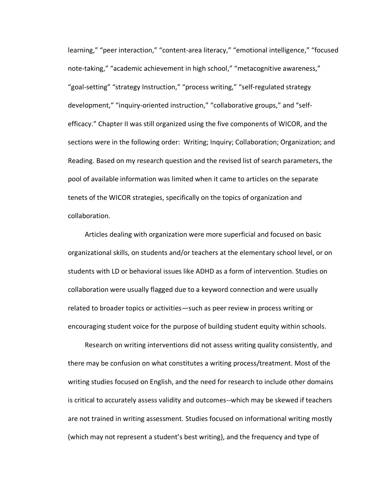learning," "peer interaction," "content-area literacy," "emotional intelligence," "focused note-taking," "academic achievement in high school," "metacognitive awareness," "goal-setting" "strategy Instruction," "process writing," "self-regulated strategy development," "inquiry-oriented instruction," "collaborative groups," and "selfefficacy." Chapter II was still organized using the five components of WICOR, and the sections were in the following order: Writing; Inquiry; Collaboration; Organization; and Reading. Based on my research question and the revised list of search parameters, the pool of available information was limited when it came to articles on the separate tenets of the WICOR strategies, specifically on the topics of organization and collaboration.

 Articles dealing with organization were more superficial and focused on basic organizational skills, on students and/or teachers at the elementary school level, or on students with LD or behavioral issues like ADHD as a form of intervention. Studies on collaboration were usually flagged due to a keyword connection and were usually related to broader topics or activities—such as peer review in process writing or encouraging student voice for the purpose of building student equity within schools.

 Research on writing interventions did not assess writing quality consistently, and there may be confusion on what constitutes a writing process/treatment. Most of the writing studies focused on English, and the need for research to include other domains is critical to accurately assess validity and outcomes--which may be skewed if teachers are not trained in writing assessment. Studies focused on informational writing mostly (which may not represent a student's best writing), and the frequency and type of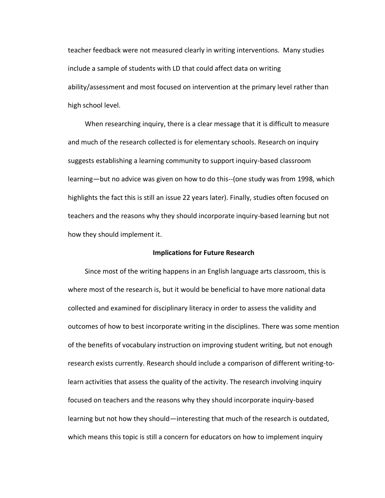teacher feedback were not measured clearly in writing interventions. Many studies include a sample of students with LD that could affect data on writing ability/assessment and most focused on intervention at the primary level rather than high school level.

 When researching inquiry, there is a clear message that it is difficult to measure and much of the research collected is for elementary schools. Research on inquiry suggests establishing a learning community to support inquiry-based classroom learning—but no advice was given on how to do this--(one study was from 1998, which highlights the fact this is still an issue 22 years later). Finally, studies often focused on teachers and the reasons why they should incorporate inquiry-based learning but not how they should implement it.

# **Implications for Future Research**

 Since most of the writing happens in an English language arts classroom, this is where most of the research is, but it would be beneficial to have more national data collected and examined for disciplinary literacy in order to assess the validity and outcomes of how to best incorporate writing in the disciplines. There was some mention of the benefits of vocabulary instruction on improving student writing, but not enough research exists currently. Research should include a comparison of different writing-tolearn activities that assess the quality of the activity. The research involving inquiry focused on teachers and the reasons why they should incorporate inquiry-based learning but not how they should—interesting that much of the research is outdated, which means this topic is still a concern for educators on how to implement inquiry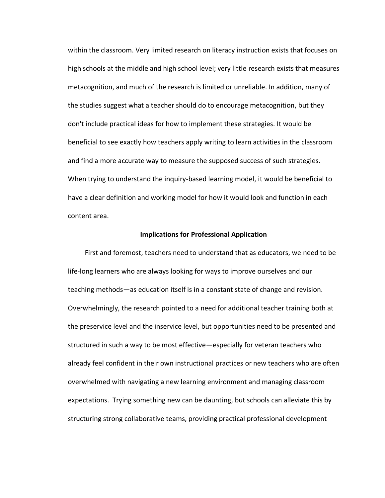within the classroom. Very limited research on literacy instruction exists that focuses on high schools at the middle and high school level; very little research exists that measures metacognition, and much of the research is limited or unreliable. In addition, many of the studies suggest what a teacher should do to encourage metacognition, but they don't include practical ideas for how to implement these strategies. It would be beneficial to see exactly how teachers apply writing to learn activities in the classroom and find a more accurate way to measure the supposed success of such strategies. When trying to understand the inquiry-based learning model, it would be beneficial to have a clear definition and working model for how it would look and function in each content area.

### **Implications for Professional Application**

 First and foremost, teachers need to understand that as educators, we need to be life-long learners who are always looking for ways to improve ourselves and our teaching methods—as education itself is in a constant state of change and revision. Overwhelmingly, the research pointed to a need for additional teacher training both at the preservice level and the inservice level, but opportunities need to be presented and structured in such a way to be most effective—especially for veteran teachers who already feel confident in their own instructional practices or new teachers who are often overwhelmed with navigating a new learning environment and managing classroom expectations. Trying something new can be daunting, but schools can alleviate this by structuring strong collaborative teams, providing practical professional development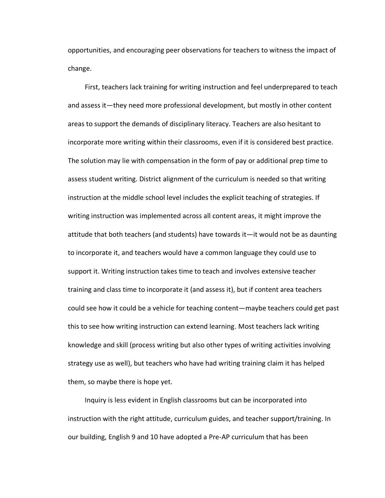opportunities, and encouraging peer observations for teachers to witness the impact of change.

 First, teachers lack training for writing instruction and feel underprepared to teach and assess it—they need more professional development, but mostly in other content areas to support the demands of disciplinary literacy. Teachers are also hesitant to incorporate more writing within their classrooms, even if it is considered best practice. The solution may lie with compensation in the form of pay or additional prep time to assess student writing. District alignment of the curriculum is needed so that writing instruction at the middle school level includes the explicit teaching of strategies. If writing instruction was implemented across all content areas, it might improve the attitude that both teachers (and students) have towards it—it would not be as daunting to incorporate it, and teachers would have a common language they could use to support it. Writing instruction takes time to teach and involves extensive teacher training and class time to incorporate it (and assess it), but if content area teachers could see how it could be a vehicle for teaching content—maybe teachers could get past this to see how writing instruction can extend learning. Most teachers lack writing knowledge and skill (process writing but also other types of writing activities involving strategy use as well), but teachers who have had writing training claim it has helped them, so maybe there is hope yet.

 Inquiry is less evident in English classrooms but can be incorporated into instruction with the right attitude, curriculum guides, and teacher support/training. In our building, English 9 and 10 have adopted a Pre-AP curriculum that has been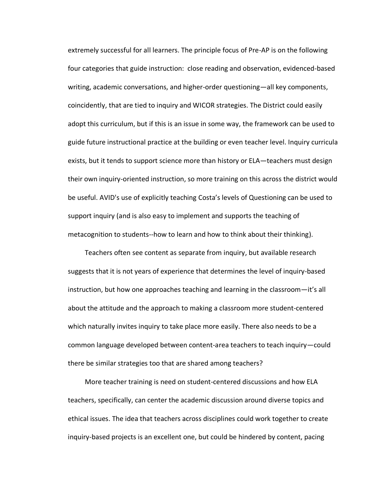extremely successful for all learners. The principle focus of Pre-AP is on the following four categories that guide instruction: close reading and observation, evidenced-based writing, academic conversations, and higher-order questioning—all key components, coincidently, that are tied to inquiry and WICOR strategies. The District could easily adopt this curriculum, but if this is an issue in some way, the framework can be used to guide future instructional practice at the building or even teacher level. Inquiry curricula exists, but it tends to support science more than history or ELA—teachers must design their own inquiry-oriented instruction, so more training on this across the district would be useful. AVID's use of explicitly teaching Costa's levels of Questioning can be used to support inquiry (and is also easy to implement and supports the teaching of metacognition to students--how to learn and how to think about their thinking).

 Teachers often see content as separate from inquiry, but available research suggests that it is not years of experience that determines the level of inquiry-based instruction, but how one approaches teaching and learning in the classroom—it's all about the attitude and the approach to making a classroom more student-centered which naturally invites inquiry to take place more easily. There also needs to be a common language developed between content-area teachers to teach inquiry—could there be similar strategies too that are shared among teachers?

 More teacher training is need on student-centered discussions and how ELA teachers, specifically, can center the academic discussion around diverse topics and ethical issues. The idea that teachers across disciplines could work together to create inquiry-based projects is an excellent one, but could be hindered by content, pacing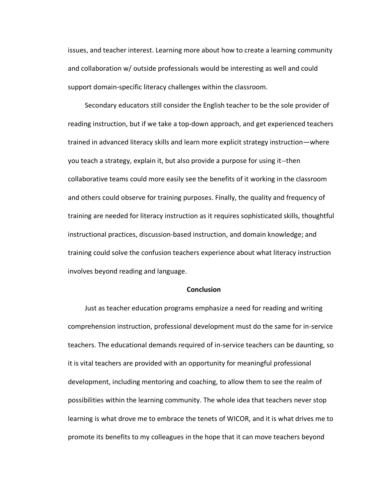issues, and teacher interest. Learning more about how to create a learning community and collaboration w/ outside professionals would be interesting as well and could support domain-specific literacy challenges within the classroom.

 Secondary educators still consider the English teacher to be the sole provider of reading instruction, but if we take a top-down approach, and get experienced teachers trained in advanced literacy skills and learn more explicit strategy instruction—where you teach a strategy, explain it, but also provide a purpose for using it--then collaborative teams could more easily see the benefits of it working in the classroom and others could observe for training purposes. Finally, the quality and frequency of training are needed for literacy instruction as it requires sophisticated skills, thoughtful instructional practices, discussion-based instruction, and domain knowledge; and training could solve the confusion teachers experience about what literacy instruction involves beyond reading and language.

## **Conclusion**

 Just as teacher education programs emphasize a need for reading and writing comprehension instruction, professional development must do the same for in-service teachers. The educational demands required of in-service teachers can be daunting, so it is vital teachers are provided with an opportunity for meaningful professional development, including mentoring and coaching, to allow them to see the realm of possibilities within the learning community. The whole idea that teachers never stop learning is what drove me to embrace the tenets of WICOR, and it is what drives me to promote its benefits to my colleagues in the hope that it can move teachers beyond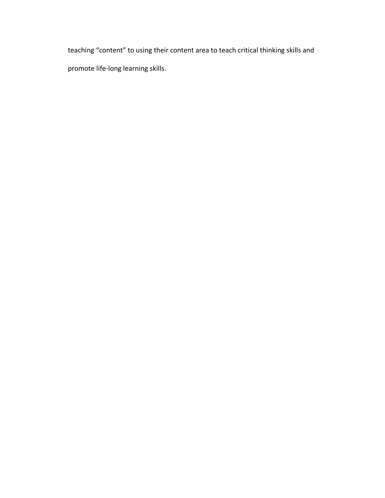teaching "content" to using their content area to teach critical thinking skills and promote life-long learning skills.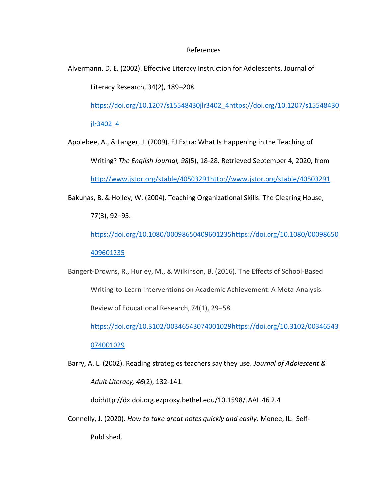# References

Alvermann, D. E. (2002). Effective Literacy Instruction for Adolescents. Journal of Literacy Research, 34(2), 189–208.

[https://doi.org/10.1207/s15548430jlr3402\\_4https://doi.org/10.1207/s15548430](https://doi.org/10.1207/s15548430jlr3402_4)

[jlr3402\\_4](https://doi.org/10.1207/s15548430jlr3402_4)

Applebee, A., & Langer, J. (2009). EJ Extra: What Is Happening in the Teaching of Writing? *The English Journal, 98*(5), 18-28. Retrieved September 4, 2020, from [http://www.jstor.org/stable/40503291http://www.jstor.org/stable/40503291](http://www.jstor.org/stable/40503291)

Bakunas, B. & Holley, W. (2004). Teaching Organizational Skills. The Clearing House,

77(3), 92–95.

[https://doi.org/10.1080/00098650409601235https://doi.org/10.1080/00098650](https://doi.org/10.1080/00098650409601235)

[409601235](https://doi.org/10.1080/00098650409601235)

Bangert-Drowns, R., Hurley, M., & Wilkinson, B. (2016). The Effects of School-Based Writing-to-Learn Interventions on Academic Achievement: A Meta-Analysis. Review of Educational Research, 74(1), 29–58.

[https://doi.org/10.3102/00346543074001029https://doi.org/10.3102/00346543](https://doi.org/10.3102/00346543074001029) [074001029](https://doi.org/10.3102/00346543074001029)

Barry, A. L. (2002). Reading strategies teachers say they use. *Journal of Adolescent & Adult Literacy, 46*(2), 132-141.

doi:http://dx.doi.org.ezproxy.bethel.edu/10.1598/JAAL.46.2.4

Connelly, J. (2020). *How to take great notes quickly and easily.* Monee, IL: Self-Published.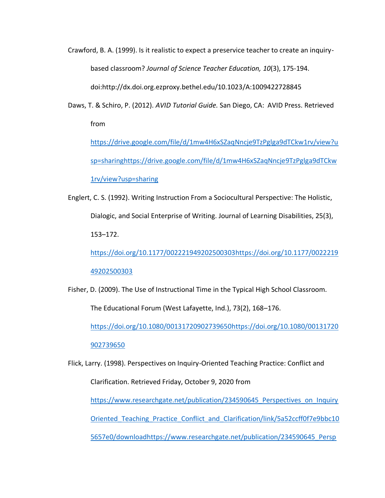Crawford, B. A. (1999). Is it realistic to expect a preservice teacher to create an inquirybased classroom? *Journal of Science Teacher Education, 10*(3), 175-194. doi:http://dx.doi.org.ezproxy.bethel.edu/10.1023/A:1009422728845

Daws, T. & Schiro, P. (2012). *AVID Tutorial Guide.* San Diego, CA:AVID Press. Retrieved from

[https://drive.google.com/file/d/1mw4H6xSZaqNncje9TzPglga9dTCkw1rv/view?u](https://drive.google.com/file/d/1mw4H6xSZaqNncje9TzPglga9dTCkw1rv/view?usp=sharing) [sp=sharinghttps://drive.google.com/file/d/1mw4H6xSZaqNncje9TzPglga9dTCkw](https://drive.google.com/file/d/1mw4H6xSZaqNncje9TzPglga9dTCkw1rv/view?usp=sharing) [1rv/view?usp=sharing](https://drive.google.com/file/d/1mw4H6xSZaqNncje9TzPglga9dTCkw1rv/view?usp=sharing)

Englert, C. S. (1992). Writing Instruction From a Sociocultural Perspective: The Holistic, Dialogic, and Social Enterprise of Writing. Journal of Learning Disabilities, 25(3), 153–172.

[https://doi.org/10.1177/002221949202500303https://doi.org/10.1177/0022219](https://doi.org/10.1177/002221949202500303) [49202500303](https://doi.org/10.1177/002221949202500303)

Fisher, D. (2009). The Use of Instructional Time in the Typical High School Classroom.

The Educational Forum (West Lafayette, Ind.), 73(2), 168–176.

[https://doi.org/10.1080/00131720902739650https://doi.org/10.1080/00131720](https://doi.org/10.1080/00131720902739650)

[902739650](https://doi.org/10.1080/00131720902739650)

Flick, Larry. (1998). Perspectives on Inquiry-Oriented Teaching Practice: Conflict and Clarification. Retrieved Friday, October 9, 2020 from https://www.researchgate.net/publication/234590645 Perspectives on Inquiry [Oriented\\_Teaching\\_Practice\\_Conflict\\_and\\_Clarification/link/5a52ccff0f7e9bbc10](https://www.researchgate.net/publication/234590645_Perspectives_on_InquiryOriented_Teaching_Practice_Conflict_and_Clarification/link/5a52ccff0f7e9bbc105657e0/download) [5657e0/downloadhttps://www.researchgate.net/publication/234590645\\_Persp](https://www.researchgate.net/publication/234590645_Perspectives_on_InquiryOriented_Teaching_Practice_Conflict_and_Clarification/link/5a52ccff0f7e9bbc105657e0/download)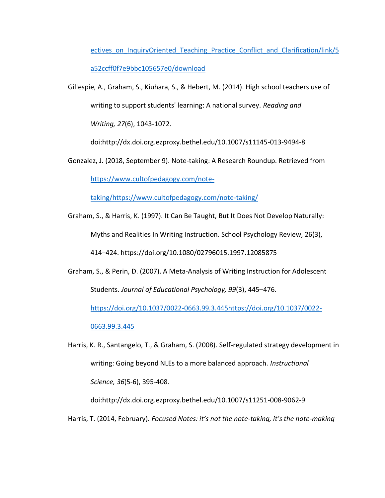ectives on InquiryOriented Teaching Practice Conflict and Clarification/link/5 [a52ccff0f7e9bbc105657e0/download](https://www.researchgate.net/publication/234590645_Perspectives_on_InquiryOriented_Teaching_Practice_Conflict_and_Clarification/link/5a52ccff0f7e9bbc105657e0/download)

Gillespie, A., Graham, S., Kiuhara, S., & Hebert, M. (2014). High school teachers use of writing to support students' learning: A national survey. *Reading and Writing, 27*(6), 1043-1072.

doi:http://dx.doi.org.ezproxy.bethel.edu/10.1007/s11145-013-9494-8

Gonzalez, J. (2018, September 9). Note-taking: A Research Roundup. Retrieved from

[https://www.cultofpedagogy.com/note-](https://www.cultofpedagogy.com/note-taking/)

[taking/https://www.cultofpedagogy.com/note-taking/](https://www.cultofpedagogy.com/note-taking/)

Graham, S., & Harris, K. (1997). It Can Be Taught, But It Does Not Develop Naturally: Myths and Realities In Writing Instruction. School Psychology Review, 26(3), 414–424. https://doi.org/10.1080/02796015.1997.12085875

Graham, S., & Perin, D. (2007). A Meta-Analysis of Writing Instruction for Adolescent Students. *Journal of Educational Psychology, 99*(3), 445–476.

[https://doi.org/10.1037/0022-0663.99.3.445https://doi.org/10.1037/0022-](https://doi.org/10.1037/0022-0663.99.3.445)

[0663.99.3.445](https://doi.org/10.1037/0022-0663.99.3.445)

Harris, K. R., Santangelo, T., & Graham, S. (2008). Self-regulated strategy development in writing: Going beyond NLEs to a more balanced approach. *Instructional Science, 36*(5-6), 395-408.

doi:http://dx.doi.org.ezproxy.bethel.edu/10.1007/s11251-008-9062-9

Harris, T. (2014, February). *Focused Notes: it's not the note-taking, it's the note-making*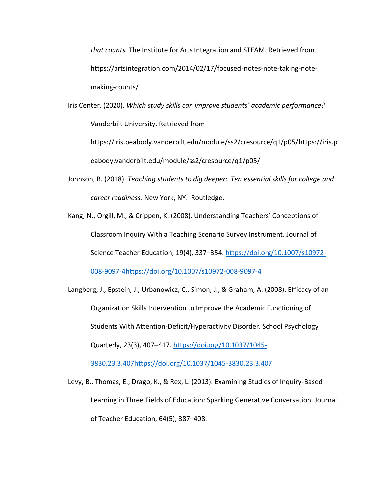*that counts.* The Institute for Arts Integration and STEAM. Retrieved from https://artsintegration.com/2014/02/17/focused-notes-note-taking-notemaking-counts/

Iris Center. (2020). *Which study skills can improve students' academic performance?* Vanderbilt University. Retrieved from

[https://iris.peabody.vanderbilt.edu/module/ss2/cresource/q1/p05/https://iris.p](https://iris.peabody.vanderbilt.edu/module/ss2/cresource/q1/p05/) [eabody.vanderbilt.edu/module/ss2/cresource/q1/p05/](https://iris.peabody.vanderbilt.edu/module/ss2/cresource/q1/p05/)

- Johnson, B. (2018). *Teaching students to dig deeper: Ten essential skills for college and career readiness.* New York, NY: Routledge.
- Kang, N., Orgill, M., & Crippen, K. (2008). Understanding Teachers' Conceptions of Classroom Inquiry With a Teaching Scenario Survey Instrument. Journal of Science Teacher Education, 19(4), 337–354. [https://doi.org/10.1007/s10972-](https://doi.org/10.1007/s10972-008-9097-4) [008-9097-4https://doi.org/10.1007/s10972-008-9097-4](https://doi.org/10.1007/s10972-008-9097-4)

Langberg, J., Epstein, J., Urbanowicz, C., Simon, J., & Graham, A. (2008). Efficacy of an Organization Skills Intervention to Improve the Academic Functioning of Students With Attention-Deficit/Hyperactivity Disorder. School Psychology Quarterly, 23(3), 407–417. [https://doi.org/10.1037/1045-](https://doi.org/10.1037/1045-3830.23.3.407)

[3830.23.3.407https://doi.org/10.1037/1045-3830.23.3.407](https://doi.org/10.1037/1045-3830.23.3.407)

Levy, B., Thomas, E., Drago, K., & Rex, L. (2013). Examining Studies of Inquiry-Based Learning in Three Fields of Education: Sparking Generative Conversation. Journal of Teacher Education, 64(5), 387–408.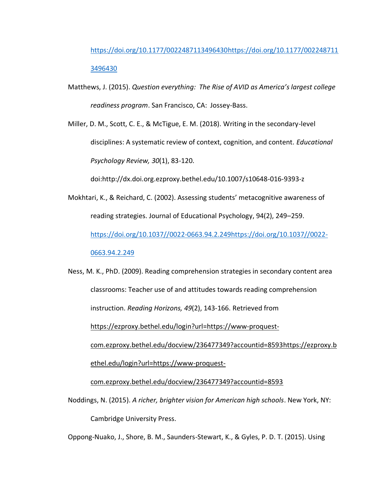[https://doi.org/10.1177/0022487113496430https://doi.org/10.1177/002248711](https://doi.org/10.1177/0022487113496430) [3496430](https://doi.org/10.1177/0022487113496430)

Matthews, J. (2015). *Question everything: The Rise of AVID as America's largest college readiness program*. San Francisco, CA: Jossey-Bass.

Miller, D. M., Scott, C. E., & McTigue, E. M. (2018). Writing in the secondary-level disciplines: A systematic review of context, cognition, and content. *Educational Psychology Review, 30*(1), 83-120.

doi:http://dx.doi.org.ezproxy.bethel.edu/10.1007/s10648-016-9393-z

- Mokhtari, K., & Reichard, C. (2002). Assessing students' metacognitive awareness of reading strategies. Journal of Educational Psychology, 94(2), 249–259. [https://doi.org/10.1037//0022-0663.94.2.249https://doi.org/10.1037//0022-](https://doi.org/10.1037/0022-0663.94.2.249) [0663.94.2.249](https://doi.org/10.1037/0022-0663.94.2.249)
- Ness, M. K., PhD. (2009). Reading comprehension strategies in secondary content area classrooms: Teacher use of and attitudes towards reading comprehension instruction. *Reading Horizons, 49*(2), 143-166. Retrieved from [https://ezproxy.bethel.edu/login?url=https://www-proquest](https://ezproxy.bethel.edu/login?url=https://www-proquest-com.ezproxy.bethel.edu/docview/236477349?accountid=8593)[com.ezproxy.bethel.edu/docview/236477349?accountid=8593https://ezproxy.b](https://ezproxy.bethel.edu/login?url=https://www-proquest-com.ezproxy.bethel.edu/docview/236477349?accountid=8593) [ethel.edu/login?url=https://www-proquest](https://ezproxy.bethel.edu/login?url=https://www-proquest-com.ezproxy.bethel.edu/docview/236477349?accountid=8593)[com.ezproxy.bethel.edu/docview/236477349?accountid=8593](https://ezproxy.bethel.edu/login?url=https://www-proquest-com.ezproxy.bethel.edu/docview/236477349?accountid=8593)
- Noddings, N. (2015). *A richer, brighter vision for American high schools*. New York, NY: Cambridge University Press.

Oppong-Nuako, J., Shore, B. M., Saunders-Stewart, K., & Gyles, P. D. T. (2015). Using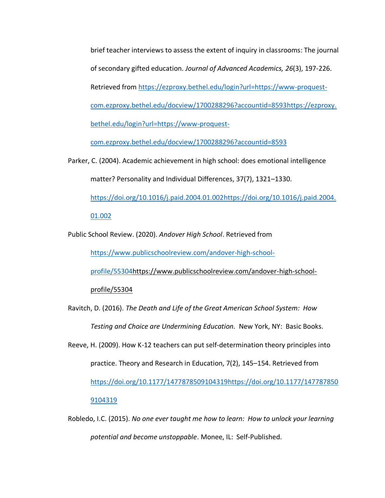brief teacher interviews to assess the extent of inquiry in classrooms: The journal of secondary gifted education. *Journal of Advanced Academics, 26*(3), 197-226. Retrieved from [https://ezproxy.bethel.edu/login?url=https://www-proquest](https://ezproxy.bethel.edu/login?url=https://www-proquest-com.ezproxy.bethel.edu/docview/1700288296?accountid=8593)[com.ezproxy.bethel.edu/docview/1700288296?accountid=8593https://ezproxy.](https://ezproxy.bethel.edu/login?url=https://www-proquest-com.ezproxy.bethel.edu/docview/1700288296?accountid=8593) [bethel.edu/login?url=https://www-proquest-](https://ezproxy.bethel.edu/login?url=https://www-proquest-com.ezproxy.bethel.edu/docview/1700288296?accountid=8593)

[com.ezproxy.bethel.edu/docview/1700288296?accountid=8593](https://ezproxy.bethel.edu/login?url=https://www-proquest-com.ezproxy.bethel.edu/docview/1700288296?accountid=8593)

Parker, C. (2004). Academic achievement in high school: does emotional intelligence matter? Personality and Individual Differences, 37(7), 1321–1330. [https://doi.org/10.1016/j.paid.2004.01.002https://doi.org/10.1016/j.paid.2004.](https://doi.org/10.1016/j.paid.2004.01.002)

[01.002](https://doi.org/10.1016/j.paid.2004.01.002)

Public School Review. (2020). *Andover High School*. Retrieved from

[https://www.publicschoolreview.com/andover-high-school-](https://www.publicschoolreview.com/andover-high-school-profile/55304)

[profile/55304https://www.publicschoolreview.com/andover-high-school-](https://www.publicschoolreview.com/andover-high-school-profile/55304)

[profile/55304](https://www.publicschoolreview.com/andover-high-school-profile/55304)

Ravitch, D. (2016). *The Death and Life of the Great American School System: How Testing and Choice are Undermining Education.* New York, NY: Basic Books.

Reeve, H. (2009). How K-12 teachers can put self-determination theory principles into practice. Theory and Research in Education, 7(2), 145–154. Retrieved from [https://doi.org/10.1177/1477878509104319https://doi.org/10.1177/147787850](https://doi.org/10.1177/1477878509104319)

[9104319](https://doi.org/10.1177/1477878509104319)

Robledo, I.C. (2015). *No one ever taught me how to learn: How to unlock your learning potential and become unstoppable*. Monee, IL: Self-Published.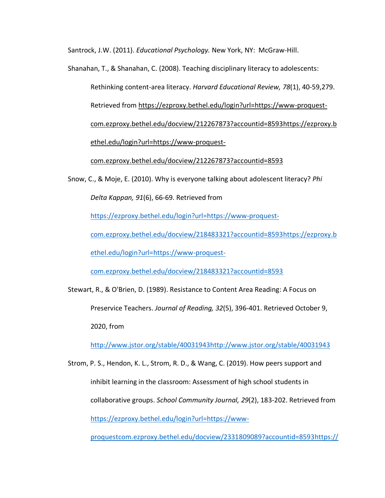Santrock, J.W. (2011). *Educational Psychology.* New York, NY: McGraw-Hill.

Shanahan, T., & Shanahan, C. (2008). Teaching disciplinary literacy to adolescents: Rethinking content-area literacy. *Harvard Educational Review, 78*(1), 40-59,279. Retrieved from [https://ezproxy.bethel.edu/login?url=https://www-proquest](https://ezproxy.bethel.edu/login?url=https://www-proquest-com.ezproxy.bethel.edu/docview/212267873?accountid=8593)[com.ezproxy.bethel.edu/docview/212267873?accountid=8593https://ezproxy.b](https://ezproxy.bethel.edu/login?url=https://www-proquest-com.ezproxy.bethel.edu/docview/212267873?accountid=8593) [ethel.edu/login?url=https://www-proquest-](https://ezproxy.bethel.edu/login?url=https://www-proquest-com.ezproxy.bethel.edu/docview/212267873?accountid=8593)

[com.ezproxy.bethel.edu/docview/212267873?accountid=8593](https://ezproxy.bethel.edu/login?url=https://www-proquest-com.ezproxy.bethel.edu/docview/212267873?accountid=8593)

Snow, C., & Moje, E. (2010). Why is everyone talking about adolescent literacy? *Phi Delta Kappan, 91*(6), 66-69. Retrieved from

[https://ezproxy.bethel.edu/login?url=https://www-proquest-](https://ezproxy.bethel.edu/login?url=https://www-proquest-com.ezproxy.bethel.edu/docview/218483321?accountid=8593)

[com.ezproxy.bethel.edu/docview/218483321?accountid=8593https://ezproxy.b](https://ezproxy.bethel.edu/login?url=https://www-proquest-com.ezproxy.bethel.edu/docview/218483321?accountid=8593)

[ethel.edu/login?url=https://www-proquest-](https://ezproxy.bethel.edu/login?url=https://www-proquest-com.ezproxy.bethel.edu/docview/218483321?accountid=8593)

[com.ezproxy.bethel.edu/docview/218483321?accountid=8593](https://ezproxy.bethel.edu/login?url=https://www-proquest-com.ezproxy.bethel.edu/docview/218483321?accountid=8593)

Stewart, R., & O'Brien, D. (1989). Resistance to Content Area Reading: A Focus on Preservice Teachers. *Journal of Reading, 32*(5), 396-401. Retrieved October 9, 2020, from

[http://www.jstor.org/stable/40031943http://www.jstor.org/stable/40031943](http://www.jstor.org/stable/40031943)

Strom, P. S., Hendon, K. L., Strom, R. D., & Wang, C. (2019). How peers support and inhibit learning in the classroom: Assessment of high school students in collaborative groups. *School Community Journal, 29*(2), 183-202. Retrieved from [https://ezproxy.bethel.edu/login?url=https://www-](https://ezproxy.bethel.edu/login?url=https://www-proquestcom.ezproxy.bethel.edu/docview/2331809089?accountid=8593)

[proquestcom.ezproxy.bethel.edu/docview/2331809089?accountid=8593https://](https://ezproxy.bethel.edu/login?url=https://www-proquestcom.ezproxy.bethel.edu/docview/2331809089?accountid=8593)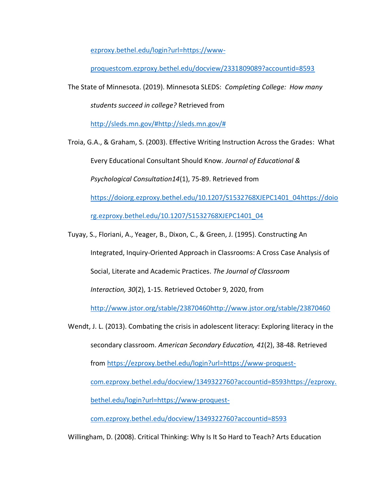[ezproxy.bethel.edu/login?url=https://www-](https://ezproxy.bethel.edu/login?url=https://www-proquestcom.ezproxy.bethel.edu/docview/2331809089?accountid=8593)

[proquestcom.ezproxy.bethel.edu/docview/2331809089?accountid=8593](https://ezproxy.bethel.edu/login?url=https://www-proquestcom.ezproxy.bethel.edu/docview/2331809089?accountid=8593)

The State of Minnesota. (2019). Minnesota SLEDS: *Completing College: How many* 

*students succeed in college?* Retrieved from

[http://sleds.mn.gov/#http://sleds.mn.gov/#](http://sleds.mn.gov/)

Troia, G.A., & Graham, S. (2003). Effective Writing Instruction Across the Grades: What Every Educational Consultant Should Know*. Journal of Educational & Psychological Consultation14*(1), 75-89. Retrieved from [https://doiorg.ezproxy.bethel.edu/10.1207/S1532768XJEPC1401\\_04https://doio](https://doiorg.ezproxy.bethel.edu/10.1207/S1532768XJEPC1401_04) [rg.ezproxy.bethel.edu/10.1207/S1532768XJEPC1401\\_04](https://doiorg.ezproxy.bethel.edu/10.1207/S1532768XJEPC1401_04)

Tuyay, S., Floriani, A., Yeager, B., Dixon, C., & Green, J. (1995). Constructing An

Integrated, Inquiry-Oriented Approach in Classrooms: A Cross Case Analysis of

Social, Literate and Academic Practices. *The Journal of Classroom* 

*Interaction, 30*(2), 1-15. Retrieved October 9, 2020, from

[http://www.jstor.org/stable/23870460http://www.jstor.org/stable/23870460](http://www.jstor.org/stable/23870460)

Wendt, J. L. (2013). Combating the crisis in adolescent literacy: Exploring literacy in the secondary classroom. *American Secondary Education, 41*(2), 38-48. Retrieved from [https://ezproxy.bethel.edu/login?url=https://www-proquest](https://ezproxy.bethel.edu/login?url=https://www-proquest-com.ezproxy.bethel.edu/docview/1349322760?accountid=8593)[com.ezproxy.bethel.edu/docview/1349322760?accountid=8593https://ezproxy.](https://ezproxy.bethel.edu/login?url=https://www-proquest-com.ezproxy.bethel.edu/docview/1349322760?accountid=8593) [bethel.edu/login?url=https://www-proquest-](https://ezproxy.bethel.edu/login?url=https://www-proquest-com.ezproxy.bethel.edu/docview/1349322760?accountid=8593)

[com.ezproxy.bethel.edu/docview/1349322760?accountid=8593](https://ezproxy.bethel.edu/login?url=https://www-proquest-com.ezproxy.bethel.edu/docview/1349322760?accountid=8593)

Willingham, D. (2008). Critical Thinking: Why Is It So Hard to Teach? Arts Education